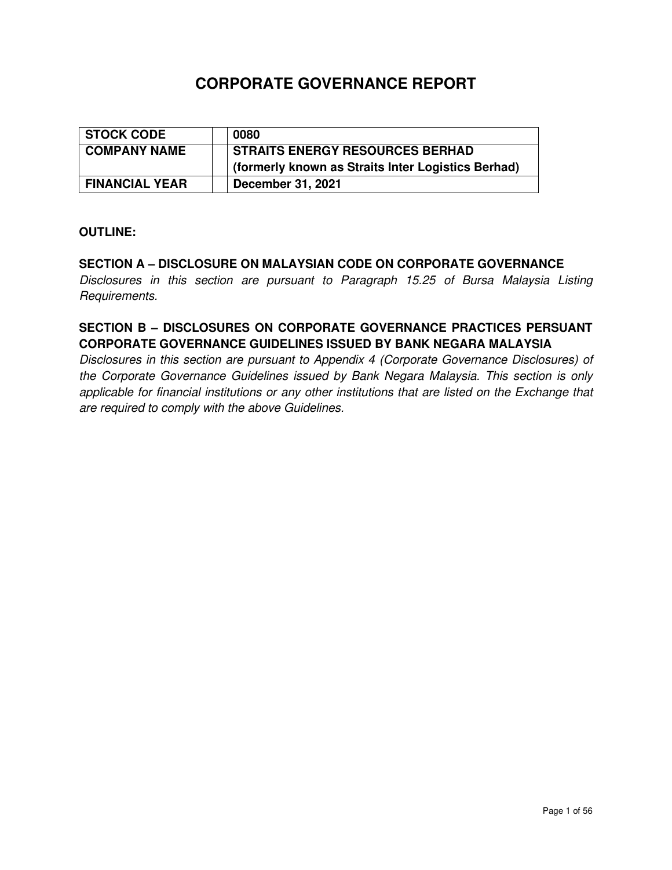# **CORPORATE GOVERNANCE REPORT**

| STOCK CODE            | 0080                                               |
|-----------------------|----------------------------------------------------|
| <b>COMPANY NAME</b>   | <b>STRAITS ENERGY RESOURCES BERHAD</b>             |
|                       | (formerly known as Straits Inter Logistics Berhad) |
| <b>FINANCIAL YEAR</b> | December 31, 2021                                  |

#### **OUTLINE:**

### **SECTION A – DISCLOSURE ON MALAYSIAN CODE ON CORPORATE GOVERNANCE**

Disclosures in this section are pursuant to Paragraph 15.25 of Bursa Malaysia Listing Requirements.

## **SECTION B – DISCLOSURES ON CORPORATE GOVERNANCE PRACTICES PERSUANT CORPORATE GOVERNANCE GUIDELINES ISSUED BY BANK NEGARA MALAYSIA**

Disclosures in this section are pursuant to Appendix 4 (Corporate Governance Disclosures) of the Corporate Governance Guidelines issued by Bank Negara Malaysia. This section is only applicable for financial institutions or any other institutions that are listed on the Exchange that are required to comply with the above Guidelines.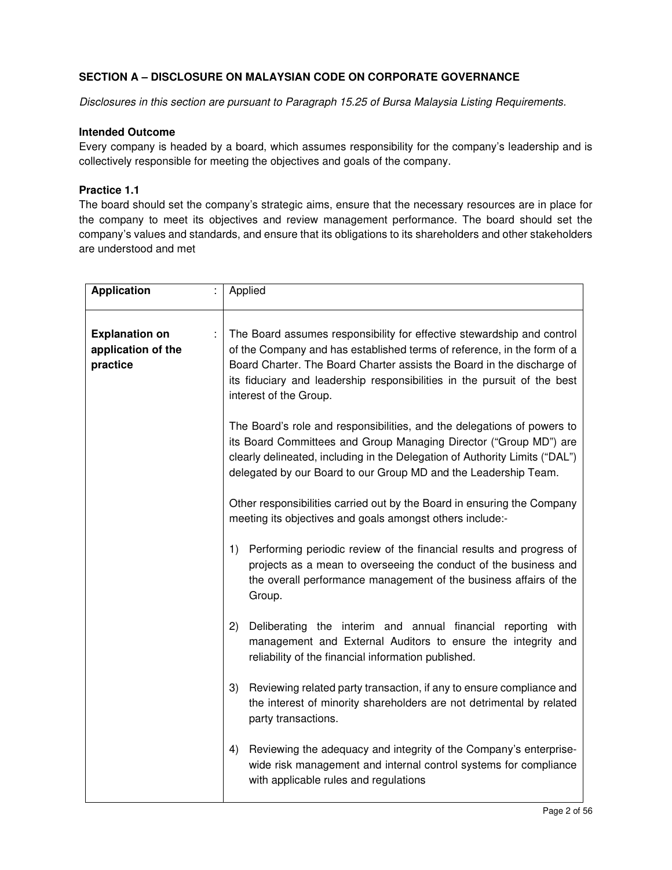#### **SECTION A – DISCLOSURE ON MALAYSIAN CODE ON CORPORATE GOVERNANCE**

Disclosures in this section are pursuant to Paragraph 15.25 of Bursa Malaysia Listing Requirements.

#### **Intended Outcome**

Every company is headed by a board, which assumes responsibility for the company's leadership and is collectively responsible for meeting the objectives and goals of the company.

#### **Practice 1.1**

The board should set the company's strategic aims, ensure that the necessary resources are in place for the company to meet its objectives and review management performance. The board should set the company's values and standards, and ensure that its obligations to its shareholders and other stakeholders are understood and met

| <b>Application</b>                                      | Applied                                                                                                                                                                                                                                                                                                                           |
|---------------------------------------------------------|-----------------------------------------------------------------------------------------------------------------------------------------------------------------------------------------------------------------------------------------------------------------------------------------------------------------------------------|
| <b>Explanation on</b><br>application of the<br>practice | The Board assumes responsibility for effective stewardship and control<br>of the Company and has established terms of reference, in the form of a<br>Board Charter. The Board Charter assists the Board in the discharge of<br>its fiduciary and leadership responsibilities in the pursuit of the best<br>interest of the Group. |
|                                                         | The Board's role and responsibilities, and the delegations of powers to<br>its Board Committees and Group Managing Director ("Group MD") are<br>clearly delineated, including in the Delegation of Authority Limits ("DAL")<br>delegated by our Board to our Group MD and the Leadership Team.                                    |
|                                                         | Other responsibilities carried out by the Board in ensuring the Company<br>meeting its objectives and goals amongst others include:-                                                                                                                                                                                              |
|                                                         | Performing periodic review of the financial results and progress of<br>1)<br>projects as a mean to overseeing the conduct of the business and<br>the overall performance management of the business affairs of the<br>Group.                                                                                                      |
|                                                         | 2)<br>Deliberating the interim and annual financial reporting with<br>management and External Auditors to ensure the integrity and<br>reliability of the financial information published.                                                                                                                                         |
|                                                         | Reviewing related party transaction, if any to ensure compliance and<br>3)<br>the interest of minority shareholders are not detrimental by related<br>party transactions.                                                                                                                                                         |
|                                                         | 4)<br>Reviewing the adequacy and integrity of the Company's enterprise-<br>wide risk management and internal control systems for compliance<br>with applicable rules and regulations                                                                                                                                              |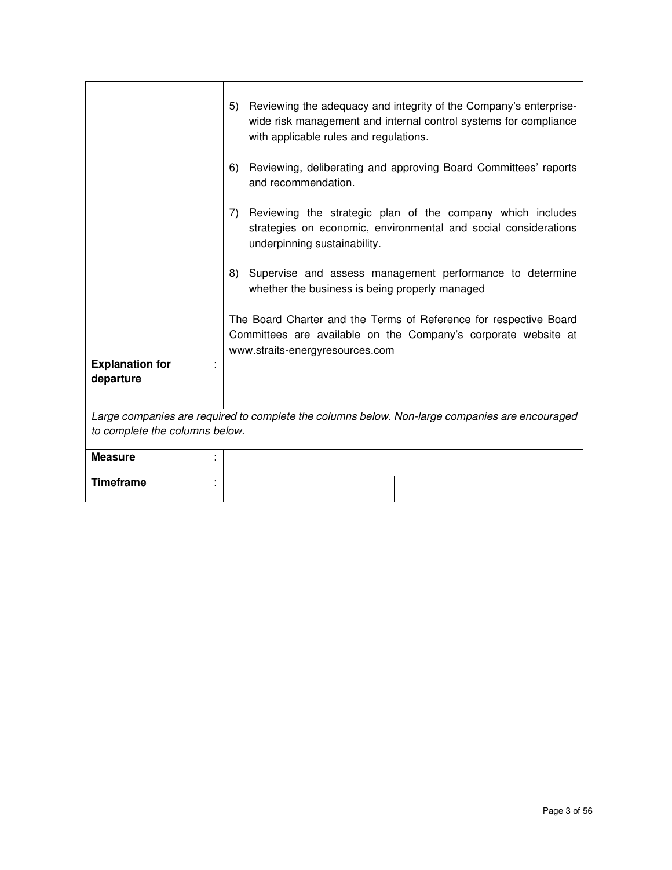|                                     | 5) | Reviewing the adequacy and integrity of the Company's enterprise-<br>wide risk management and internal control systems for compliance<br>with applicable rules and regulations. |
|-------------------------------------|----|---------------------------------------------------------------------------------------------------------------------------------------------------------------------------------|
|                                     | 6) | Reviewing, deliberating and approving Board Committees' reports<br>and recommendation.                                                                                          |
|                                     | 7) | Reviewing the strategic plan of the company which includes<br>strategies on economic, environmental and social considerations<br>underpinning sustainability.                   |
|                                     | 8) | Supervise and assess management performance to determine<br>whether the business is being properly managed                                                                      |
|                                     |    | The Board Charter and the Terms of Reference for respective Board<br>Committees are available on the Company's corporate website at<br>www.straits-energyresources.com          |
| <b>Explanation for</b><br>departure |    |                                                                                                                                                                                 |
|                                     |    |                                                                                                                                                                                 |
| to complete the columns below.      |    | Large companies are required to complete the columns below. Non-large companies are encouraged                                                                                  |
| <b>Measure</b>                      |    |                                                                                                                                                                                 |
| <b>Timeframe</b>                    |    |                                                                                                                                                                                 |

 $\overline{\phantom{a}}$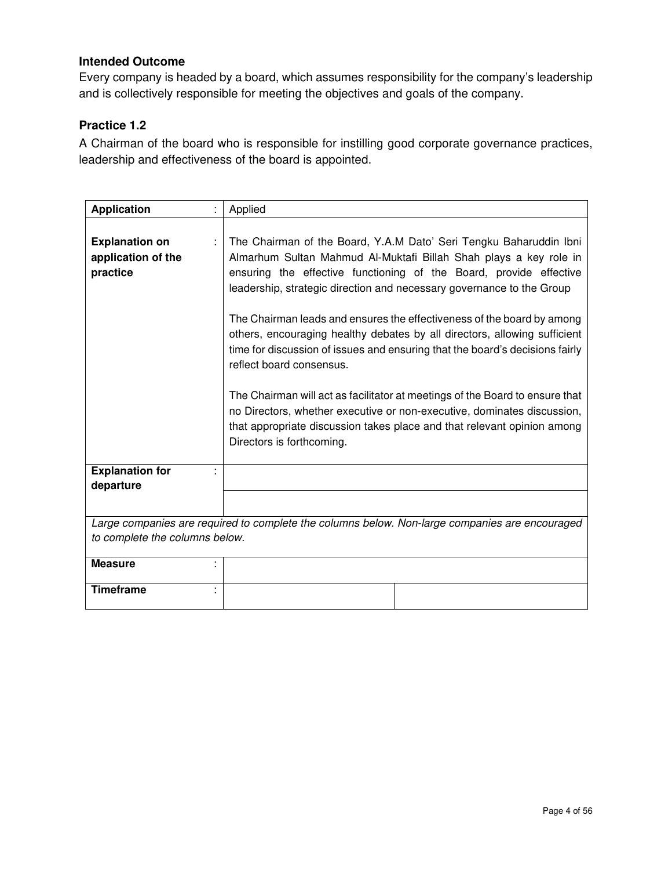Every company is headed by a board, which assumes responsibility for the company's leadership and is collectively responsible for meeting the objectives and goals of the company.

### **Practice 1.2**

A Chairman of the board who is responsible for instilling good corporate governance practices, leadership and effectiveness of the board is appointed.

| <b>Application</b>                                      | Applied                                                                                                                                                                                                                                                                                                                                                                                                                                                                                                                                                                                                                                                                                                                                                                                                                      |
|---------------------------------------------------------|------------------------------------------------------------------------------------------------------------------------------------------------------------------------------------------------------------------------------------------------------------------------------------------------------------------------------------------------------------------------------------------------------------------------------------------------------------------------------------------------------------------------------------------------------------------------------------------------------------------------------------------------------------------------------------------------------------------------------------------------------------------------------------------------------------------------------|
| <b>Explanation on</b><br>application of the<br>practice | The Chairman of the Board, Y.A.M Dato' Seri Tengku Baharuddin Ibni<br>Almarhum Sultan Mahmud Al-Muktafi Billah Shah plays a key role in<br>ensuring the effective functioning of the Board, provide effective<br>leadership, strategic direction and necessary governance to the Group<br>The Chairman leads and ensures the effectiveness of the board by among<br>others, encouraging healthy debates by all directors, allowing sufficient<br>time for discussion of issues and ensuring that the board's decisions fairly<br>reflect board consensus.<br>The Chairman will act as facilitator at meetings of the Board to ensure that<br>no Directors, whether executive or non-executive, dominates discussion,<br>that appropriate discussion takes place and that relevant opinion among<br>Directors is forthcoming. |
| <b>Explanation for</b><br>departure                     |                                                                                                                                                                                                                                                                                                                                                                                                                                                                                                                                                                                                                                                                                                                                                                                                                              |
|                                                         | Large companies are required to complete the columns below. Non-large companies are encouraged                                                                                                                                                                                                                                                                                                                                                                                                                                                                                                                                                                                                                                                                                                                               |
| to complete the columns below.                          |                                                                                                                                                                                                                                                                                                                                                                                                                                                                                                                                                                                                                                                                                                                                                                                                                              |
| <b>Measure</b>                                          |                                                                                                                                                                                                                                                                                                                                                                                                                                                                                                                                                                                                                                                                                                                                                                                                                              |
| <b>Timeframe</b>                                        |                                                                                                                                                                                                                                                                                                                                                                                                                                                                                                                                                                                                                                                                                                                                                                                                                              |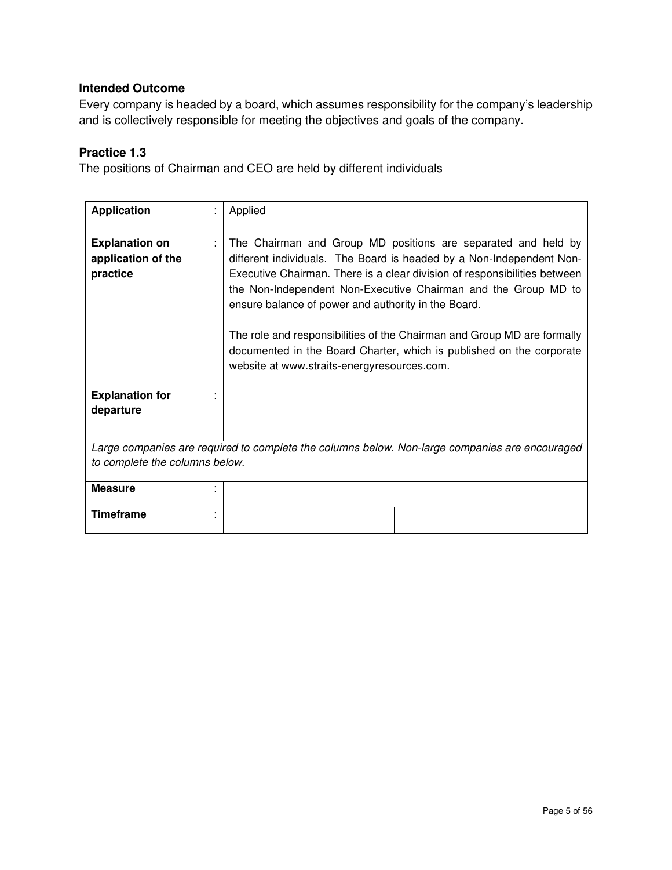Every company is headed by a board, which assumes responsibility for the company's leadership and is collectively responsible for meeting the objectives and goals of the company.

## **Practice 1.3**

The positions of Chairman and CEO are held by different individuals

| <b>Application</b>                                      | Applied                                                                                                                                                                                                                                                                                                                                                                                                                                                                                                                                       |
|---------------------------------------------------------|-----------------------------------------------------------------------------------------------------------------------------------------------------------------------------------------------------------------------------------------------------------------------------------------------------------------------------------------------------------------------------------------------------------------------------------------------------------------------------------------------------------------------------------------------|
| <b>Explanation on</b><br>application of the<br>practice | The Chairman and Group MD positions are separated and held by<br>different individuals. The Board is headed by a Non-Independent Non-<br>Executive Chairman. There is a clear division of responsibilities between<br>the Non-Independent Non-Executive Chairman and the Group MD to<br>ensure balance of power and authority in the Board.<br>The role and responsibilities of the Chairman and Group MD are formally<br>documented in the Board Charter, which is published on the corporate<br>website at www.straits-energyresources.com. |
| <b>Explanation for</b><br>departure                     |                                                                                                                                                                                                                                                                                                                                                                                                                                                                                                                                               |
|                                                         | Large companies are required to complete the columns below. Non-large companies are encouraged                                                                                                                                                                                                                                                                                                                                                                                                                                                |
| to complete the columns below.                          |                                                                                                                                                                                                                                                                                                                                                                                                                                                                                                                                               |
| <b>Measure</b>                                          |                                                                                                                                                                                                                                                                                                                                                                                                                                                                                                                                               |
| <b>Timeframe</b>                                        |                                                                                                                                                                                                                                                                                                                                                                                                                                                                                                                                               |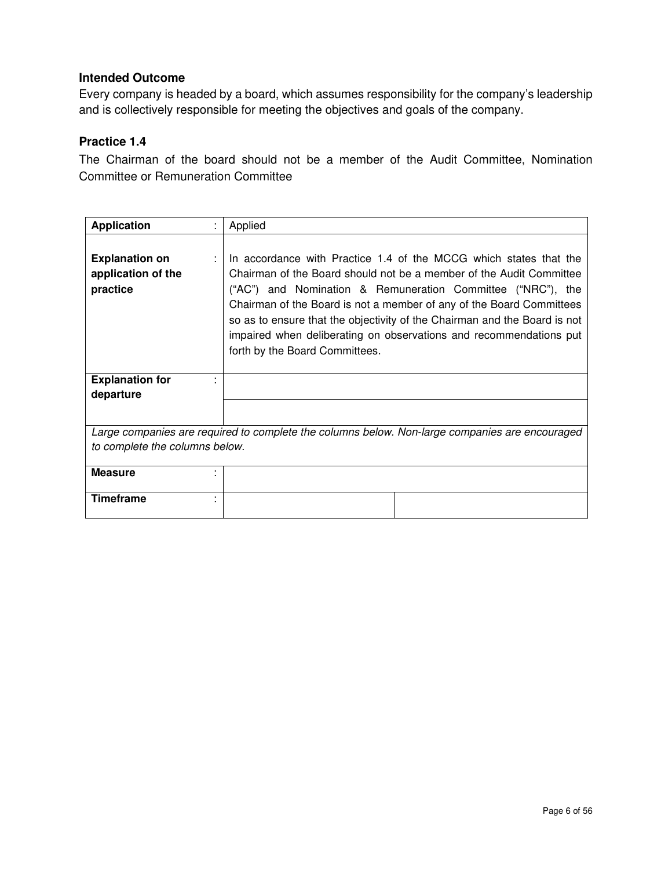Every company is headed by a board, which assumes responsibility for the company's leadership and is collectively responsible for meeting the objectives and goals of the company.

## **Practice 1.4**

The Chairman of the board should not be a member of the Audit Committee, Nomination Committee or Remuneration Committee

| <b>Application</b><br>t                                 | Applied                                                                                                                                                                                                                                                                                                                                                                                                                                                              |
|---------------------------------------------------------|----------------------------------------------------------------------------------------------------------------------------------------------------------------------------------------------------------------------------------------------------------------------------------------------------------------------------------------------------------------------------------------------------------------------------------------------------------------------|
| <b>Explanation on</b><br>application of the<br>practice | In accordance with Practice 1.4 of the MCCG which states that the<br>Chairman of the Board should not be a member of the Audit Committee<br>("AC") and Nomination & Remuneration Committee ("NRC"), the<br>Chairman of the Board is not a member of any of the Board Committees<br>so as to ensure that the objectivity of the Chairman and the Board is not<br>impaired when deliberating on observations and recommendations put<br>forth by the Board Committees. |
| <b>Explanation for</b><br>departure                     |                                                                                                                                                                                                                                                                                                                                                                                                                                                                      |
|                                                         |                                                                                                                                                                                                                                                                                                                                                                                                                                                                      |
|                                                         | Large companies are required to complete the columns below. Non-large companies are encouraged                                                                                                                                                                                                                                                                                                                                                                       |
| to complete the columns below.                          |                                                                                                                                                                                                                                                                                                                                                                                                                                                                      |
| <b>Measure</b>                                          |                                                                                                                                                                                                                                                                                                                                                                                                                                                                      |
| <b>Timeframe</b><br>٠                                   |                                                                                                                                                                                                                                                                                                                                                                                                                                                                      |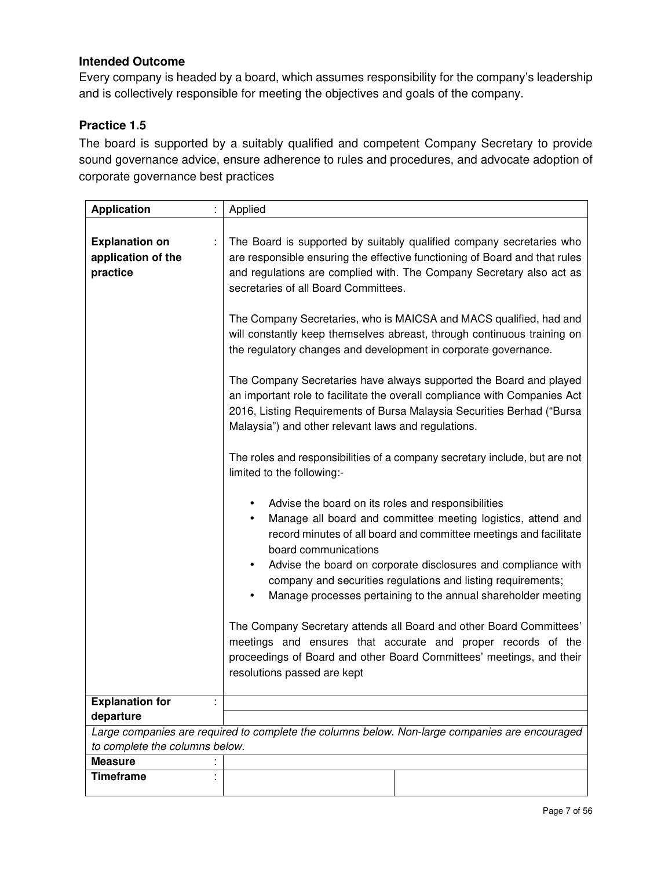Every company is headed by a board, which assumes responsibility for the company's leadership and is collectively responsible for meeting the objectives and goals of the company.

## **Practice 1.5**

The board is supported by a suitably qualified and competent Company Secretary to provide sound governance advice, ensure adherence to rules and procedures, and advocate adoption of corporate governance best practices

| <b>Application</b>                                      | Applied                                                                                                                                                                                                                                                                                                                                                                                                                                  |
|---------------------------------------------------------|------------------------------------------------------------------------------------------------------------------------------------------------------------------------------------------------------------------------------------------------------------------------------------------------------------------------------------------------------------------------------------------------------------------------------------------|
| <b>Explanation on</b><br>application of the<br>practice | The Board is supported by suitably qualified company secretaries who<br>are responsible ensuring the effective functioning of Board and that rules<br>and regulations are complied with. The Company Secretary also act as<br>secretaries of all Board Committees.<br>The Company Secretaries, who is MAICSA and MACS qualified, had and                                                                                                 |
|                                                         | will constantly keep themselves abreast, through continuous training on<br>the regulatory changes and development in corporate governance.                                                                                                                                                                                                                                                                                               |
|                                                         | The Company Secretaries have always supported the Board and played<br>an important role to facilitate the overall compliance with Companies Act<br>2016, Listing Requirements of Bursa Malaysia Securities Berhad ("Bursa<br>Malaysia") and other relevant laws and regulations.                                                                                                                                                         |
|                                                         | The roles and responsibilities of a company secretary include, but are not<br>limited to the following:-                                                                                                                                                                                                                                                                                                                                 |
|                                                         | Advise the board on its roles and responsibilities<br>٠<br>Manage all board and committee meeting logistics, attend and<br>٠<br>record minutes of all board and committee meetings and facilitate<br>board communications<br>Advise the board on corporate disclosures and compliance with<br>$\bullet$<br>company and securities regulations and listing requirements;<br>Manage processes pertaining to the annual shareholder meeting |
|                                                         | The Company Secretary attends all Board and other Board Committees'<br>meetings and ensures that accurate and proper records of the<br>proceedings of Board and other Board Committees' meetings, and their<br>resolutions passed are kept                                                                                                                                                                                               |
| <b>Explanation for</b>                                  |                                                                                                                                                                                                                                                                                                                                                                                                                                          |
| departure                                               |                                                                                                                                                                                                                                                                                                                                                                                                                                          |
|                                                         | Large companies are required to complete the columns below. Non-large companies are encouraged                                                                                                                                                                                                                                                                                                                                           |
| to complete the columns below.                          |                                                                                                                                                                                                                                                                                                                                                                                                                                          |
| <b>Measure</b>                                          |                                                                                                                                                                                                                                                                                                                                                                                                                                          |
| <b>Timeframe</b>                                        |                                                                                                                                                                                                                                                                                                                                                                                                                                          |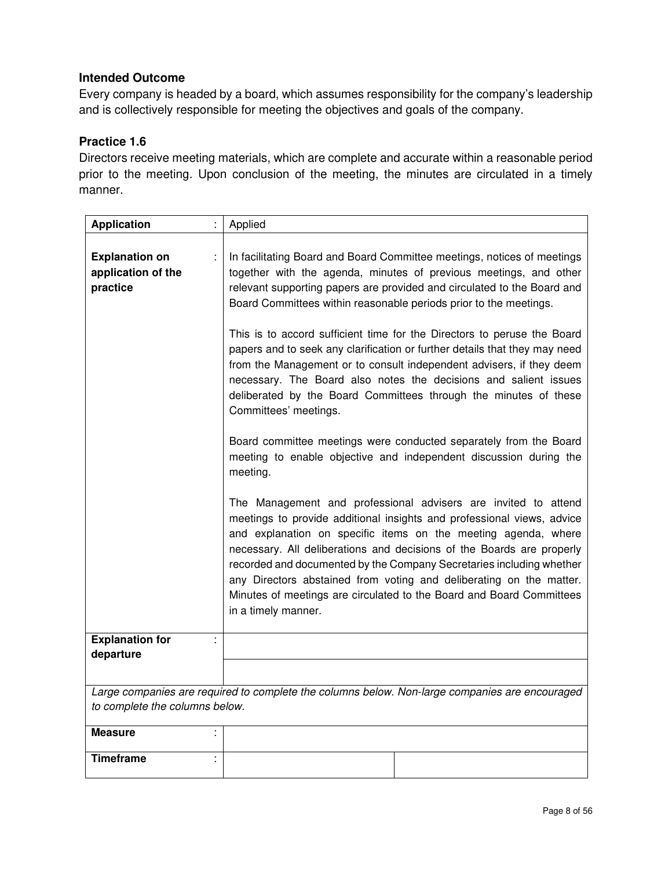Every company is headed by a board, which assumes responsibility for the company's leadership and is collectively responsible for meeting the objectives and goals of the company.

## **Practice 1.6**

Directors receive meeting materials, which are complete and accurate within a reasonable period prior to the meeting. Upon conclusion of the meeting, the minutes are circulated in a timely manner.

| <b>Application</b>                                      | Applied                                                                                                                                                                                                                                                                                                                                                                                                                                                                                                                           |
|---------------------------------------------------------|-----------------------------------------------------------------------------------------------------------------------------------------------------------------------------------------------------------------------------------------------------------------------------------------------------------------------------------------------------------------------------------------------------------------------------------------------------------------------------------------------------------------------------------|
| <b>Explanation on</b><br>application of the<br>practice | In facilitating Board and Board Committee meetings, notices of meetings<br>together with the agenda, minutes of previous meetings, and other<br>relevant supporting papers are provided and circulated to the Board and<br>Board Committees within reasonable periods prior to the meetings.                                                                                                                                                                                                                                      |
|                                                         | This is to accord sufficient time for the Directors to peruse the Board<br>papers and to seek any clarification or further details that they may need<br>from the Management or to consult independent advisers, if they deem<br>necessary. The Board also notes the decisions and salient issues<br>deliberated by the Board Committees through the minutes of these<br>Committees' meetings.                                                                                                                                    |
|                                                         | Board committee meetings were conducted separately from the Board<br>meeting to enable objective and independent discussion during the<br>meeting.                                                                                                                                                                                                                                                                                                                                                                                |
|                                                         | The Management and professional advisers are invited to attend<br>meetings to provide additional insights and professional views, advice<br>and explanation on specific items on the meeting agenda, where<br>necessary. All deliberations and decisions of the Boards are properly<br>recorded and documented by the Company Secretaries including whether<br>any Directors abstained from voting and deliberating on the matter.<br>Minutes of meetings are circulated to the Board and Board Committees<br>in a timely manner. |
| <b>Explanation for</b><br>departure                     |                                                                                                                                                                                                                                                                                                                                                                                                                                                                                                                                   |
|                                                         |                                                                                                                                                                                                                                                                                                                                                                                                                                                                                                                                   |
| to complete the columns below.                          | Large companies are required to complete the columns below. Non-large companies are encouraged                                                                                                                                                                                                                                                                                                                                                                                                                                    |
| <b>Measure</b>                                          |                                                                                                                                                                                                                                                                                                                                                                                                                                                                                                                                   |
| <b>Timeframe</b>                                        |                                                                                                                                                                                                                                                                                                                                                                                                                                                                                                                                   |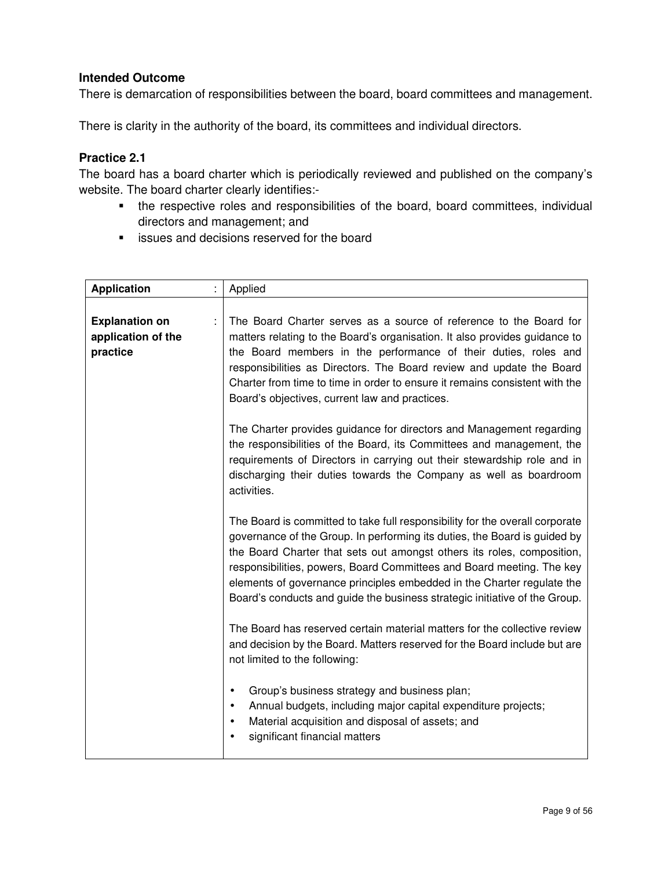There is demarcation of responsibilities between the board, board committees and management.

There is clarity in the authority of the board, its committees and individual directors.

## **Practice 2.1**

The board has a board charter which is periodically reviewed and published on the company's website. The board charter clearly identifies:-

- the respective roles and responsibilities of the board, board committees, individual directors and management; and
- **EXECUTE:** issues and decisions reserved for the board

| <b>Application</b>                                      | Applied                                                                                                                                                                                                                                                                                                                                                                                                                                                              |
|---------------------------------------------------------|----------------------------------------------------------------------------------------------------------------------------------------------------------------------------------------------------------------------------------------------------------------------------------------------------------------------------------------------------------------------------------------------------------------------------------------------------------------------|
| <b>Explanation on</b><br>application of the<br>practice | The Board Charter serves as a source of reference to the Board for<br>matters relating to the Board's organisation. It also provides guidance to<br>the Board members in the performance of their duties, roles and<br>responsibilities as Directors. The Board review and update the Board<br>Charter from time to time in order to ensure it remains consistent with the<br>Board's objectives, current law and practices.                                         |
|                                                         | The Charter provides guidance for directors and Management regarding<br>the responsibilities of the Board, its Committees and management, the<br>requirements of Directors in carrying out their stewardship role and in<br>discharging their duties towards the Company as well as boardroom<br>activities.                                                                                                                                                         |
|                                                         | The Board is committed to take full responsibility for the overall corporate<br>governance of the Group. In performing its duties, the Board is guided by<br>the Board Charter that sets out amongst others its roles, composition,<br>responsibilities, powers, Board Committees and Board meeting. The key<br>elements of governance principles embedded in the Charter regulate the<br>Board's conducts and guide the business strategic initiative of the Group. |
|                                                         | The Board has reserved certain material matters for the collective review<br>and decision by the Board. Matters reserved for the Board include but are<br>not limited to the following:                                                                                                                                                                                                                                                                              |
|                                                         | Group's business strategy and business plan;<br>$\bullet$<br>Annual budgets, including major capital expenditure projects;<br>$\bullet$<br>Material acquisition and disposal of assets; and<br>$\bullet$<br>significant financial matters                                                                                                                                                                                                                            |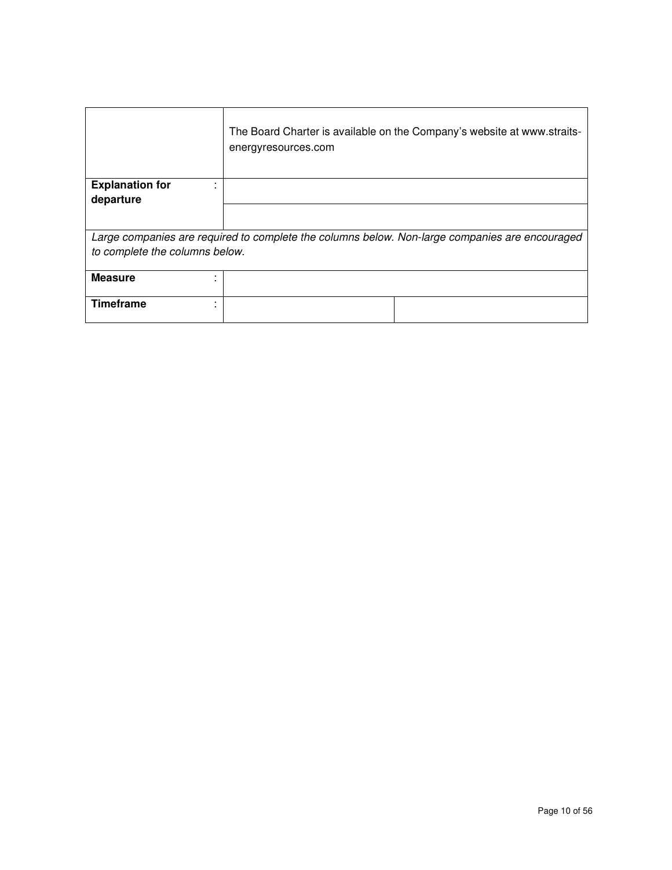|                                | The Board Charter is available on the Company's website at www.straits-<br>energyresources.com |
|--------------------------------|------------------------------------------------------------------------------------------------|
| <b>Explanation for</b>         |                                                                                                |
| departure                      |                                                                                                |
|                                |                                                                                                |
|                                | Large companies are required to complete the columns below. Non-large companies are encouraged |
| to complete the columns below. |                                                                                                |
|                                |                                                                                                |
| <b>Measure</b>                 |                                                                                                |
|                                |                                                                                                |
| <b>Timeframe</b>               |                                                                                                |
|                                |                                                                                                |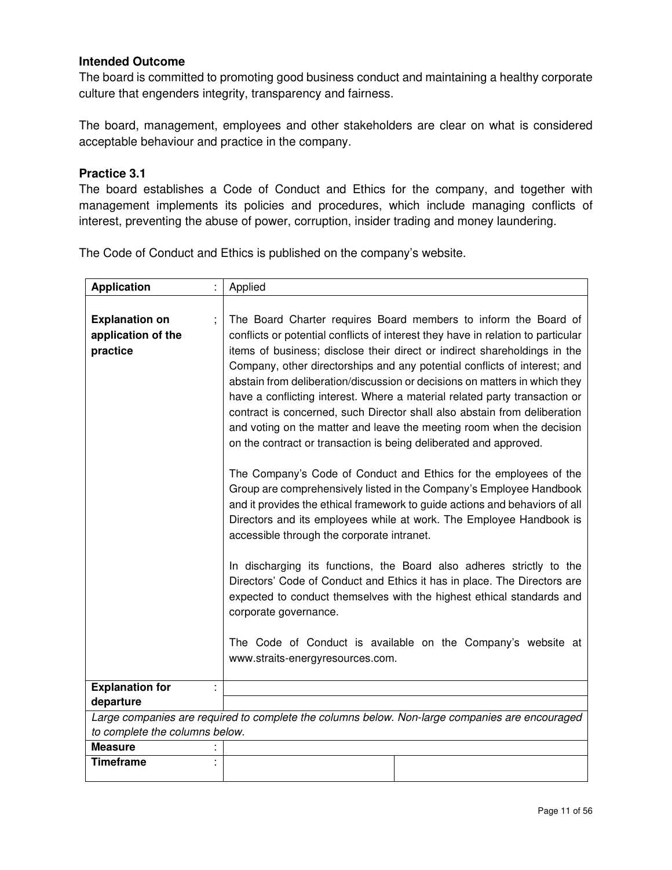The board is committed to promoting good business conduct and maintaining a healthy corporate culture that engenders integrity, transparency and fairness.

The board, management, employees and other stakeholders are clear on what is considered acceptable behaviour and practice in the company.

#### **Practice 3.1**

The board establishes a Code of Conduct and Ethics for the company, and together with management implements its policies and procedures, which include managing conflicts of interest, preventing the abuse of power, corruption, insider trading and money laundering.

The Code of Conduct and Ethics is published on the company's website.

| <b>Application</b>                                      | Applied                                                                                                                                                                                                                                                                                                                                                                                                                                                                                                                                                                                                                                                                                                                                                                                                                                                                                                                                                                                                                                                                                                                                                                                                                                                                                                                                                                                                        |
|---------------------------------------------------------|----------------------------------------------------------------------------------------------------------------------------------------------------------------------------------------------------------------------------------------------------------------------------------------------------------------------------------------------------------------------------------------------------------------------------------------------------------------------------------------------------------------------------------------------------------------------------------------------------------------------------------------------------------------------------------------------------------------------------------------------------------------------------------------------------------------------------------------------------------------------------------------------------------------------------------------------------------------------------------------------------------------------------------------------------------------------------------------------------------------------------------------------------------------------------------------------------------------------------------------------------------------------------------------------------------------------------------------------------------------------------------------------------------------|
| <b>Explanation on</b><br>application of the<br>practice | The Board Charter requires Board members to inform the Board of<br>conflicts or potential conflicts of interest they have in relation to particular<br>items of business; disclose their direct or indirect shareholdings in the<br>Company, other directorships and any potential conflicts of interest; and<br>abstain from deliberation/discussion or decisions on matters in which they<br>have a conflicting interest. Where a material related party transaction or<br>contract is concerned, such Director shall also abstain from deliberation<br>and voting on the matter and leave the meeting room when the decision<br>on the contract or transaction is being deliberated and approved.<br>The Company's Code of Conduct and Ethics for the employees of the<br>Group are comprehensively listed in the Company's Employee Handbook<br>and it provides the ethical framework to guide actions and behaviors of all<br>Directors and its employees while at work. The Employee Handbook is<br>accessible through the corporate intranet.<br>In discharging its functions, the Board also adheres strictly to the<br>Directors' Code of Conduct and Ethics it has in place. The Directors are<br>expected to conduct themselves with the highest ethical standards and<br>corporate governance.<br>The Code of Conduct is available on the Company's website at<br>www.straits-energyresources.com. |
| <b>Explanation for</b>                                  |                                                                                                                                                                                                                                                                                                                                                                                                                                                                                                                                                                                                                                                                                                                                                                                                                                                                                                                                                                                                                                                                                                                                                                                                                                                                                                                                                                                                                |
| departure                                               |                                                                                                                                                                                                                                                                                                                                                                                                                                                                                                                                                                                                                                                                                                                                                                                                                                                                                                                                                                                                                                                                                                                                                                                                                                                                                                                                                                                                                |
|                                                         | Large companies are required to complete the columns below. Non-large companies are encouraged                                                                                                                                                                                                                                                                                                                                                                                                                                                                                                                                                                                                                                                                                                                                                                                                                                                                                                                                                                                                                                                                                                                                                                                                                                                                                                                 |
| to complete the columns below.                          |                                                                                                                                                                                                                                                                                                                                                                                                                                                                                                                                                                                                                                                                                                                                                                                                                                                                                                                                                                                                                                                                                                                                                                                                                                                                                                                                                                                                                |
| <b>Measure</b>                                          |                                                                                                                                                                                                                                                                                                                                                                                                                                                                                                                                                                                                                                                                                                                                                                                                                                                                                                                                                                                                                                                                                                                                                                                                                                                                                                                                                                                                                |
| <b>Timeframe</b>                                        |                                                                                                                                                                                                                                                                                                                                                                                                                                                                                                                                                                                                                                                                                                                                                                                                                                                                                                                                                                                                                                                                                                                                                                                                                                                                                                                                                                                                                |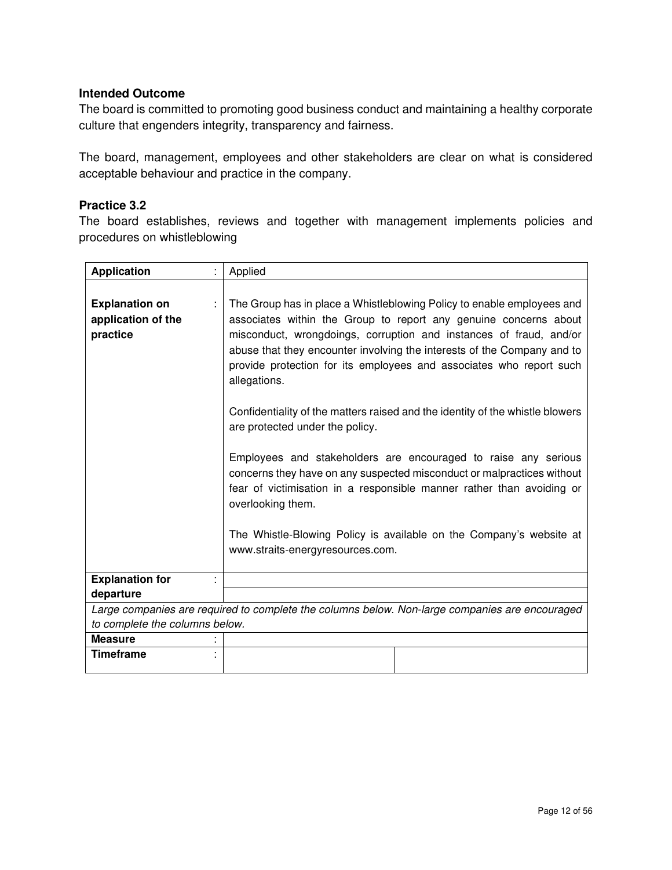The board is committed to promoting good business conduct and maintaining a healthy corporate culture that engenders integrity, transparency and fairness.

The board, management, employees and other stakeholders are clear on what is considered acceptable behaviour and practice in the company.

### **Practice 3.2**

The board establishes, reviews and together with management implements policies and procedures on whistleblowing

| <b>Application</b>                                      | Applied                                                                                                                                                                                                                                                                                                                                                                                                                                                                                                                                                                                                                                                                                                                                                                                                                                                     |
|---------------------------------------------------------|-------------------------------------------------------------------------------------------------------------------------------------------------------------------------------------------------------------------------------------------------------------------------------------------------------------------------------------------------------------------------------------------------------------------------------------------------------------------------------------------------------------------------------------------------------------------------------------------------------------------------------------------------------------------------------------------------------------------------------------------------------------------------------------------------------------------------------------------------------------|
| <b>Explanation on</b><br>application of the<br>practice | The Group has in place a Whistleblowing Policy to enable employees and<br>associates within the Group to report any genuine concerns about<br>misconduct, wrongdoings, corruption and instances of fraud, and/or<br>abuse that they encounter involving the interests of the Company and to<br>provide protection for its employees and associates who report such<br>allegations.<br>Confidentiality of the matters raised and the identity of the whistle blowers<br>are protected under the policy.<br>Employees and stakeholders are encouraged to raise any serious<br>concerns they have on any suspected misconduct or malpractices without<br>fear of victimisation in a responsible manner rather than avoiding or<br>overlooking them.<br>The Whistle-Blowing Policy is available on the Company's website at<br>www.straits-energyresources.com. |
| <b>Explanation for</b>                                  |                                                                                                                                                                                                                                                                                                                                                                                                                                                                                                                                                                                                                                                                                                                                                                                                                                                             |
| departure                                               |                                                                                                                                                                                                                                                                                                                                                                                                                                                                                                                                                                                                                                                                                                                                                                                                                                                             |
|                                                         | Large companies are required to complete the columns below. Non-large companies are encouraged                                                                                                                                                                                                                                                                                                                                                                                                                                                                                                                                                                                                                                                                                                                                                              |
| to complete the columns below.                          |                                                                                                                                                                                                                                                                                                                                                                                                                                                                                                                                                                                                                                                                                                                                                                                                                                                             |
| <b>Measure</b>                                          |                                                                                                                                                                                                                                                                                                                                                                                                                                                                                                                                                                                                                                                                                                                                                                                                                                                             |
| <b>Timeframe</b>                                        |                                                                                                                                                                                                                                                                                                                                                                                                                                                                                                                                                                                                                                                                                                                                                                                                                                                             |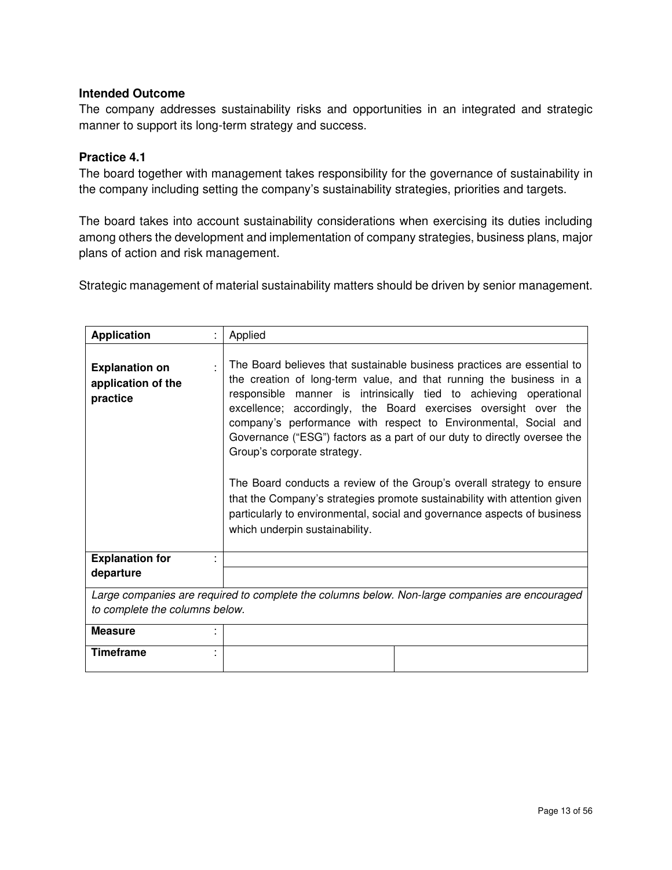The company addresses sustainability risks and opportunities in an integrated and strategic manner to support its long-term strategy and success.

## **Practice 4.1**

The board together with management takes responsibility for the governance of sustainability in the company including setting the company's sustainability strategies, priorities and targets.

The board takes into account sustainability considerations when exercising its duties including among others the development and implementation of company strategies, business plans, major plans of action and risk management.

Strategic management of material sustainability matters should be driven by senior management.

| <b>Application</b>                                      | Applied                                                                                                                                                                                                                                                                                                                                                                                                                                                                                                                                                                                                                                                                                                                                  |
|---------------------------------------------------------|------------------------------------------------------------------------------------------------------------------------------------------------------------------------------------------------------------------------------------------------------------------------------------------------------------------------------------------------------------------------------------------------------------------------------------------------------------------------------------------------------------------------------------------------------------------------------------------------------------------------------------------------------------------------------------------------------------------------------------------|
| <b>Explanation on</b><br>application of the<br>practice | The Board believes that sustainable business practices are essential to<br>the creation of long-term value, and that running the business in a<br>responsible manner is intrinsically tied to achieving operational<br>excellence; accordingly, the Board exercises oversight over the<br>company's performance with respect to Environmental, Social and<br>Governance ("ESG") factors as a part of our duty to directly oversee the<br>Group's corporate strategy.<br>The Board conducts a review of the Group's overall strategy to ensure<br>that the Company's strategies promote sustainability with attention given<br>particularly to environmental, social and governance aspects of business<br>which underpin sustainability. |
| <b>Explanation for</b>                                  |                                                                                                                                                                                                                                                                                                                                                                                                                                                                                                                                                                                                                                                                                                                                          |
| departure                                               |                                                                                                                                                                                                                                                                                                                                                                                                                                                                                                                                                                                                                                                                                                                                          |
|                                                         | Large companies are required to complete the columns below. Non-large companies are encouraged                                                                                                                                                                                                                                                                                                                                                                                                                                                                                                                                                                                                                                           |
| to complete the columns below.                          |                                                                                                                                                                                                                                                                                                                                                                                                                                                                                                                                                                                                                                                                                                                                          |
| <b>Measure</b>                                          |                                                                                                                                                                                                                                                                                                                                                                                                                                                                                                                                                                                                                                                                                                                                          |
| <b>Timeframe</b>                                        |                                                                                                                                                                                                                                                                                                                                                                                                                                                                                                                                                                                                                                                                                                                                          |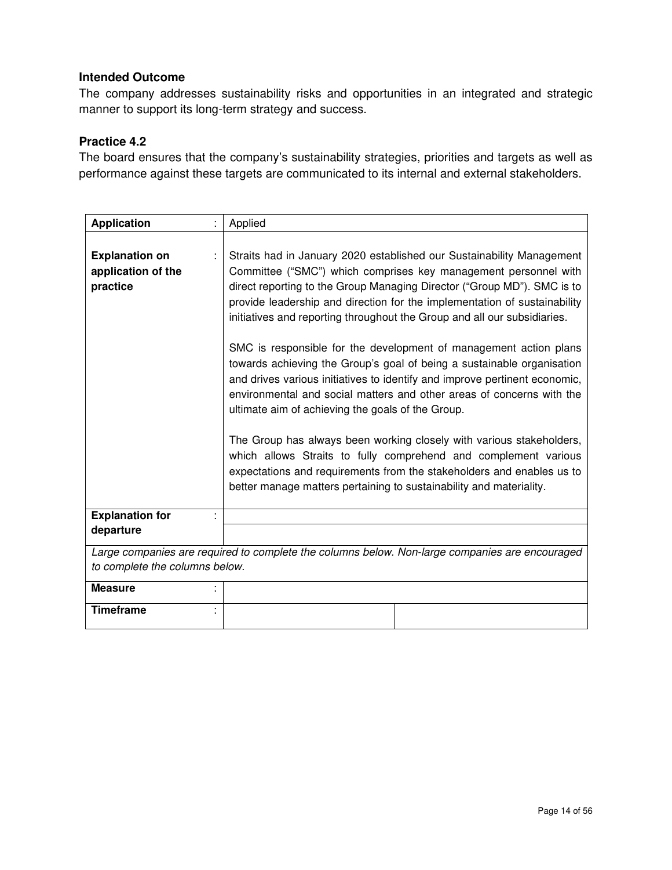The company addresses sustainability risks and opportunities in an integrated and strategic manner to support its long-term strategy and success.

## **Practice 4.2**

The board ensures that the company's sustainability strategies, priorities and targets as well as performance against these targets are communicated to its internal and external stakeholders.

| <b>Application</b>                                      |                                                                                                | Applied                                                                                                                                                                                                                                                                                                                                                                                                                                                                                                                                                                                                                                                                                                                                                                                                                                                                                                                                                                                                                            |
|---------------------------------------------------------|------------------------------------------------------------------------------------------------|------------------------------------------------------------------------------------------------------------------------------------------------------------------------------------------------------------------------------------------------------------------------------------------------------------------------------------------------------------------------------------------------------------------------------------------------------------------------------------------------------------------------------------------------------------------------------------------------------------------------------------------------------------------------------------------------------------------------------------------------------------------------------------------------------------------------------------------------------------------------------------------------------------------------------------------------------------------------------------------------------------------------------------|
| <b>Explanation on</b><br>application of the<br>practice |                                                                                                | Straits had in January 2020 established our Sustainability Management<br>Committee ("SMC") which comprises key management personnel with<br>direct reporting to the Group Managing Director ("Group MD"). SMC is to<br>provide leadership and direction for the implementation of sustainability<br>initiatives and reporting throughout the Group and all our subsidiaries.<br>SMC is responsible for the development of management action plans<br>towards achieving the Group's goal of being a sustainable organisation<br>and drives various initiatives to identify and improve pertinent economic,<br>environmental and social matters and other areas of concerns with the<br>ultimate aim of achieving the goals of the Group.<br>The Group has always been working closely with various stakeholders,<br>which allows Straits to fully comprehend and complement various<br>expectations and requirements from the stakeholders and enables us to<br>better manage matters pertaining to sustainability and materiality. |
| <b>Explanation for</b>                                  |                                                                                                |                                                                                                                                                                                                                                                                                                                                                                                                                                                                                                                                                                                                                                                                                                                                                                                                                                                                                                                                                                                                                                    |
| departure                                               |                                                                                                |                                                                                                                                                                                                                                                                                                                                                                                                                                                                                                                                                                                                                                                                                                                                                                                                                                                                                                                                                                                                                                    |
|                                                         | Large companies are required to complete the columns below. Non-large companies are encouraged |                                                                                                                                                                                                                                                                                                                                                                                                                                                                                                                                                                                                                                                                                                                                                                                                                                                                                                                                                                                                                                    |
| to complete the columns below.                          |                                                                                                |                                                                                                                                                                                                                                                                                                                                                                                                                                                                                                                                                                                                                                                                                                                                                                                                                                                                                                                                                                                                                                    |
| <b>Measure</b>                                          |                                                                                                |                                                                                                                                                                                                                                                                                                                                                                                                                                                                                                                                                                                                                                                                                                                                                                                                                                                                                                                                                                                                                                    |
| <b>Timeframe</b>                                        |                                                                                                |                                                                                                                                                                                                                                                                                                                                                                                                                                                                                                                                                                                                                                                                                                                                                                                                                                                                                                                                                                                                                                    |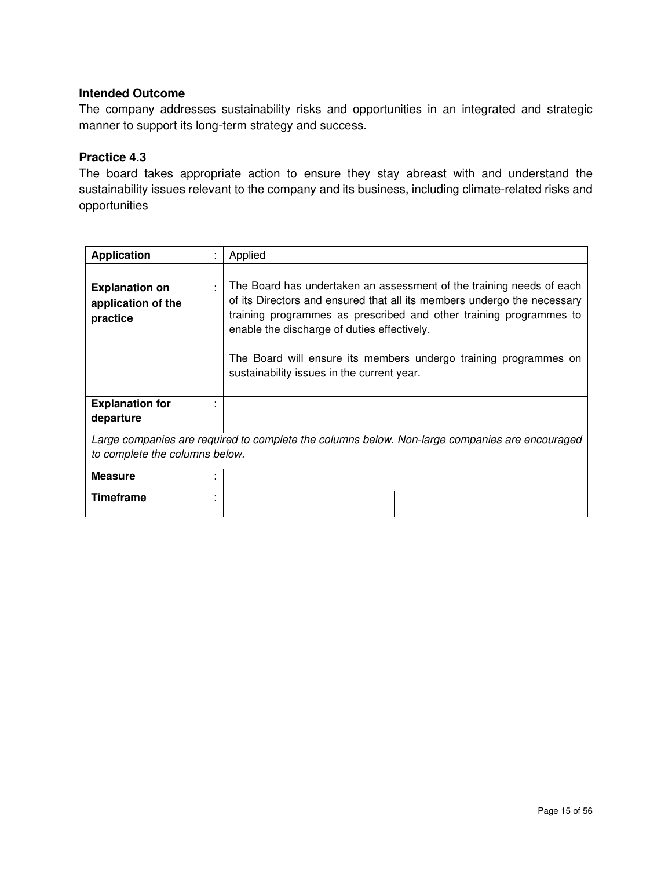The company addresses sustainability risks and opportunities in an integrated and strategic manner to support its long-term strategy and success.

#### **Practice 4.3**

The board takes appropriate action to ensure they stay abreast with and understand the sustainability issues relevant to the company and its business, including climate-related risks and opportunities

| <b>Application</b>                                                                             | ٠ | Applied                                                                                                                                                                                                                                                                                                                                                                                |
|------------------------------------------------------------------------------------------------|---|----------------------------------------------------------------------------------------------------------------------------------------------------------------------------------------------------------------------------------------------------------------------------------------------------------------------------------------------------------------------------------------|
| <b>Explanation on</b><br>application of the<br>practice                                        | ÷ | The Board has undertaken an assessment of the training needs of each<br>of its Directors and ensured that all its members undergo the necessary<br>training programmes as prescribed and other training programmes to<br>enable the discharge of duties effectively.<br>The Board will ensure its members undergo training programmes on<br>sustainability issues in the current year. |
| <b>Explanation for</b>                                                                         |   |                                                                                                                                                                                                                                                                                                                                                                                        |
| departure                                                                                      |   |                                                                                                                                                                                                                                                                                                                                                                                        |
| Large companies are required to complete the columns below. Non-large companies are encouraged |   |                                                                                                                                                                                                                                                                                                                                                                                        |
| to complete the columns below.                                                                 |   |                                                                                                                                                                                                                                                                                                                                                                                        |
| <b>Measure</b>                                                                                 |   |                                                                                                                                                                                                                                                                                                                                                                                        |
| Timeframe                                                                                      |   |                                                                                                                                                                                                                                                                                                                                                                                        |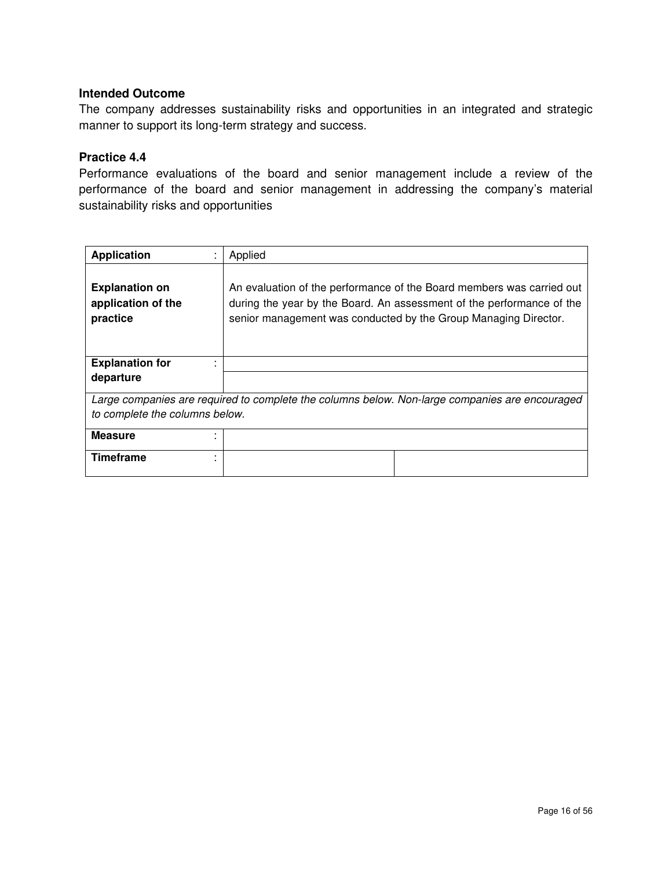The company addresses sustainability risks and opportunities in an integrated and strategic manner to support its long-term strategy and success.

#### **Practice 4.4**

Performance evaluations of the board and senior management include a review of the performance of the board and senior management in addressing the company's material sustainability risks and opportunities

| <b>Application</b><br>٠                                                                        | Applied                                                                                                                                                                                                           |  |
|------------------------------------------------------------------------------------------------|-------------------------------------------------------------------------------------------------------------------------------------------------------------------------------------------------------------------|--|
| <b>Explanation on</b><br>application of the<br>practice                                        | An evaluation of the performance of the Board members was carried out<br>during the year by the Board. An assessment of the performance of the<br>senior management was conducted by the Group Managing Director. |  |
| <b>Explanation for</b>                                                                         |                                                                                                                                                                                                                   |  |
| departure                                                                                      |                                                                                                                                                                                                                   |  |
| Large companies are required to complete the columns below. Non-large companies are encouraged |                                                                                                                                                                                                                   |  |
| to complete the columns below.                                                                 |                                                                                                                                                                                                                   |  |
| <b>Measure</b>                                                                                 |                                                                                                                                                                                                                   |  |
| Timeframe<br>٠                                                                                 |                                                                                                                                                                                                                   |  |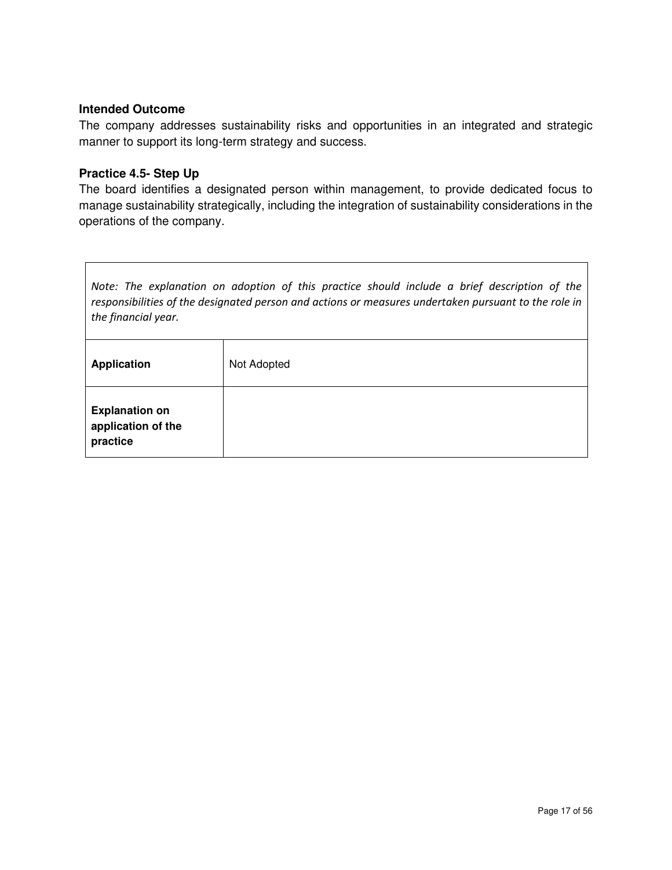The company addresses sustainability risks and opportunities in an integrated and strategic manner to support its long-term strategy and success.

#### **Practice 4.5- Step Up**

The board identifies a designated person within management, to provide dedicated focus to manage sustainability strategically, including the integration of sustainability considerations in the operations of the company.

*Note: The explanation on adoption of this practice should include a brief description of the responsibilities of the designated person and actions or measures undertaken pursuant to the role in the financial year.* 

| <b>Application</b>                                      | Not Adopted |
|---------------------------------------------------------|-------------|
| <b>Explanation on</b><br>application of the<br>practice |             |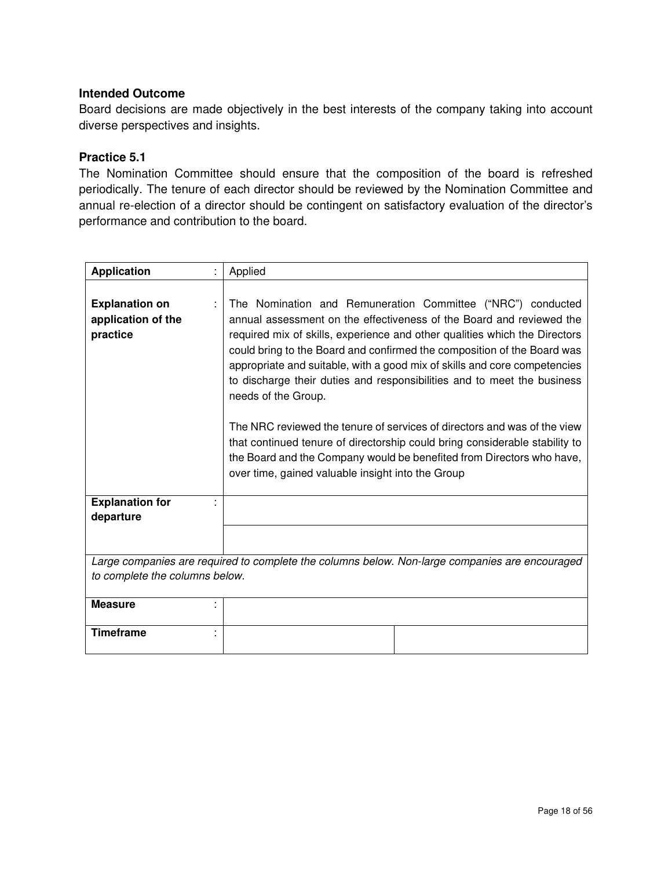Board decisions are made objectively in the best interests of the company taking into account diverse perspectives and insights.

#### **Practice 5.1**

The Nomination Committee should ensure that the composition of the board is refreshed periodically. The tenure of each director should be reviewed by the Nomination Committee and annual re-election of a director should be contingent on satisfactory evaluation of the director's performance and contribution to the board.

| <b>Application</b>                                      | Applied                                                                                                                                                                                                                                                                                                                                                                                                                                                                                                                                                                                                                                                                                                                                                              |
|---------------------------------------------------------|----------------------------------------------------------------------------------------------------------------------------------------------------------------------------------------------------------------------------------------------------------------------------------------------------------------------------------------------------------------------------------------------------------------------------------------------------------------------------------------------------------------------------------------------------------------------------------------------------------------------------------------------------------------------------------------------------------------------------------------------------------------------|
| <b>Explanation on</b><br>application of the<br>practice | The Nomination and Remuneration Committee ("NRC") conducted<br>annual assessment on the effectiveness of the Board and reviewed the<br>required mix of skills, experience and other qualities which the Directors<br>could bring to the Board and confirmed the composition of the Board was<br>appropriate and suitable, with a good mix of skills and core competencies<br>to discharge their duties and responsibilities and to meet the business<br>needs of the Group.<br>The NRC reviewed the tenure of services of directors and was of the view<br>that continued tenure of directorship could bring considerable stability to<br>the Board and the Company would be benefited from Directors who have,<br>over time, gained valuable insight into the Group |
| <b>Explanation for</b>                                  |                                                                                                                                                                                                                                                                                                                                                                                                                                                                                                                                                                                                                                                                                                                                                                      |
| departure                                               |                                                                                                                                                                                                                                                                                                                                                                                                                                                                                                                                                                                                                                                                                                                                                                      |
|                                                         |                                                                                                                                                                                                                                                                                                                                                                                                                                                                                                                                                                                                                                                                                                                                                                      |
|                                                         | Large companies are required to complete the columns below. Non-large companies are encouraged                                                                                                                                                                                                                                                                                                                                                                                                                                                                                                                                                                                                                                                                       |
| to complete the columns below.                          |                                                                                                                                                                                                                                                                                                                                                                                                                                                                                                                                                                                                                                                                                                                                                                      |
| <b>Measure</b>                                          |                                                                                                                                                                                                                                                                                                                                                                                                                                                                                                                                                                                                                                                                                                                                                                      |
| <b>Timeframe</b>                                        |                                                                                                                                                                                                                                                                                                                                                                                                                                                                                                                                                                                                                                                                                                                                                                      |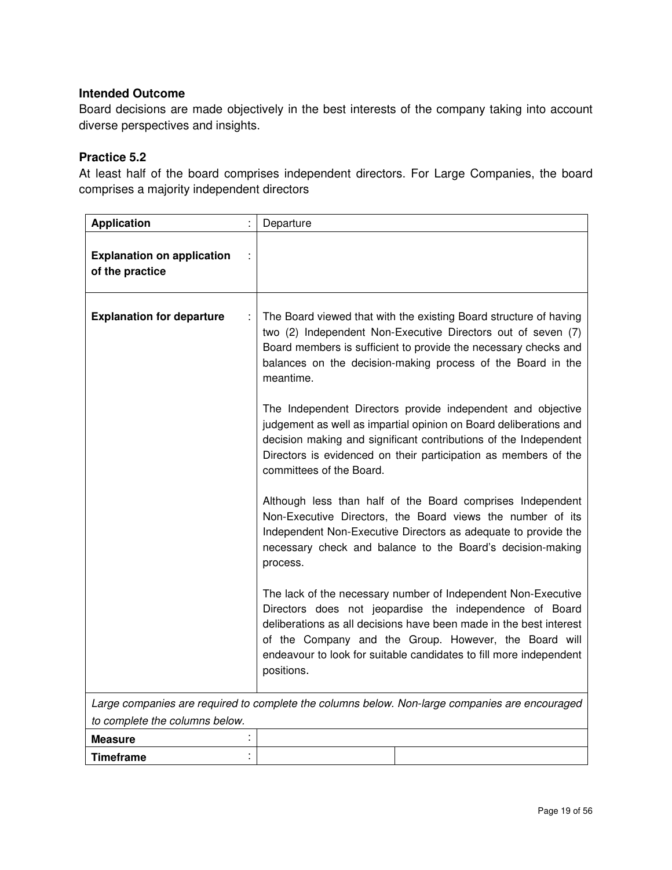Board decisions are made objectively in the best interests of the company taking into account diverse perspectives and insights.

## **Practice 5.2**

At least half of the board comprises independent directors. For Large Companies, the board comprises a majority independent directors

| <b>Application</b>                                   |   | Departure                                                                                                                                                                                                                                                                                                                                   |
|------------------------------------------------------|---|---------------------------------------------------------------------------------------------------------------------------------------------------------------------------------------------------------------------------------------------------------------------------------------------------------------------------------------------|
| <b>Explanation on application</b><br>of the practice |   |                                                                                                                                                                                                                                                                                                                                             |
| <b>Explanation for departure</b>                     |   | The Board viewed that with the existing Board structure of having<br>two (2) Independent Non-Executive Directors out of seven (7)<br>Board members is sufficient to provide the necessary checks and<br>balances on the decision-making process of the Board in the<br>meantime.                                                            |
|                                                      |   | The Independent Directors provide independent and objective<br>judgement as well as impartial opinion on Board deliberations and<br>decision making and significant contributions of the Independent<br>Directors is evidenced on their participation as members of the<br>committees of the Board.                                         |
|                                                      |   | Although less than half of the Board comprises Independent<br>Non-Executive Directors, the Board views the number of its<br>Independent Non-Executive Directors as adequate to provide the<br>necessary check and balance to the Board's decision-making<br>process.                                                                        |
|                                                      |   | The lack of the necessary number of Independent Non-Executive<br>Directors does not jeopardise the independence of Board<br>deliberations as all decisions have been made in the best interest<br>of the Company and the Group. However, the Board will<br>endeavour to look for suitable candidates to fill more independent<br>positions. |
|                                                      |   |                                                                                                                                                                                                                                                                                                                                             |
| to complete the columns below.                       |   | Large companies are required to complete the columns below. Non-large companies are encouraged                                                                                                                                                                                                                                              |
| <b>Measure</b>                                       | t |                                                                                                                                                                                                                                                                                                                                             |
| Timeframe                                            |   |                                                                                                                                                                                                                                                                                                                                             |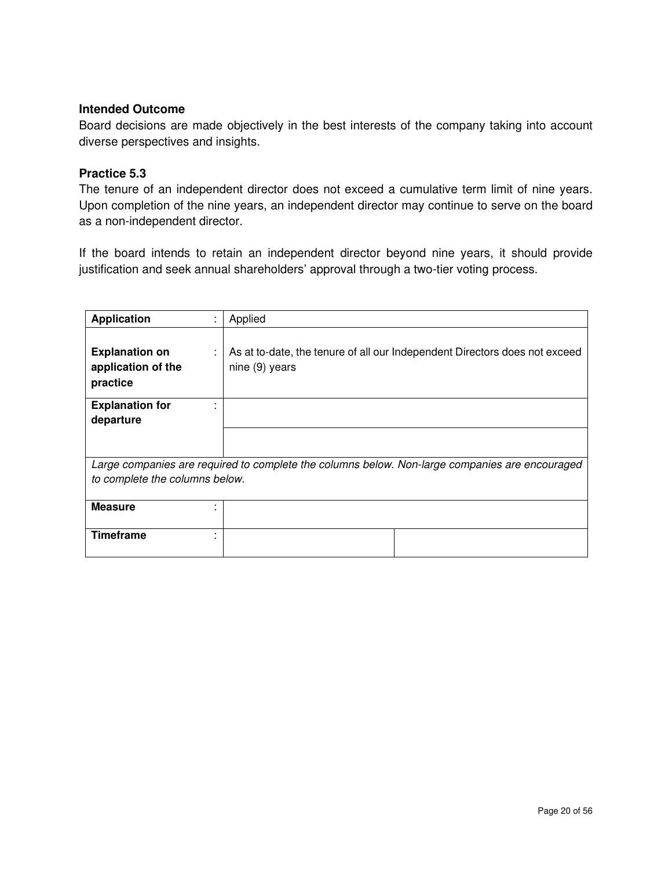Board decisions are made objectively in the best interests of the company taking into account diverse perspectives and insights.

#### **Practice 5.3**

The tenure of an independent director does not exceed a cumulative term limit of nine years. Upon completion of the nine years, an independent director may continue to serve on the board as a non-independent director.

If the board intends to retain an independent director beyond nine years, it should provide justification and seek annual shareholders' approval through a two-tier voting process.

| <b>Application</b>                                                                             | Applied                                                                                      |  |
|------------------------------------------------------------------------------------------------|----------------------------------------------------------------------------------------------|--|
| <b>Explanation on</b><br>application of the<br>practice                                        | As at to-date, the tenure of all our Independent Directors does not exceed<br>nine (9) years |  |
| <b>Explanation for</b><br>departure                                                            |                                                                                              |  |
|                                                                                                |                                                                                              |  |
| Large companies are required to complete the columns below. Non-large companies are encouraged |                                                                                              |  |
| to complete the columns below.                                                                 |                                                                                              |  |
| <b>Measure</b>                                                                                 |                                                                                              |  |
| <b>Timeframe</b>                                                                               |                                                                                              |  |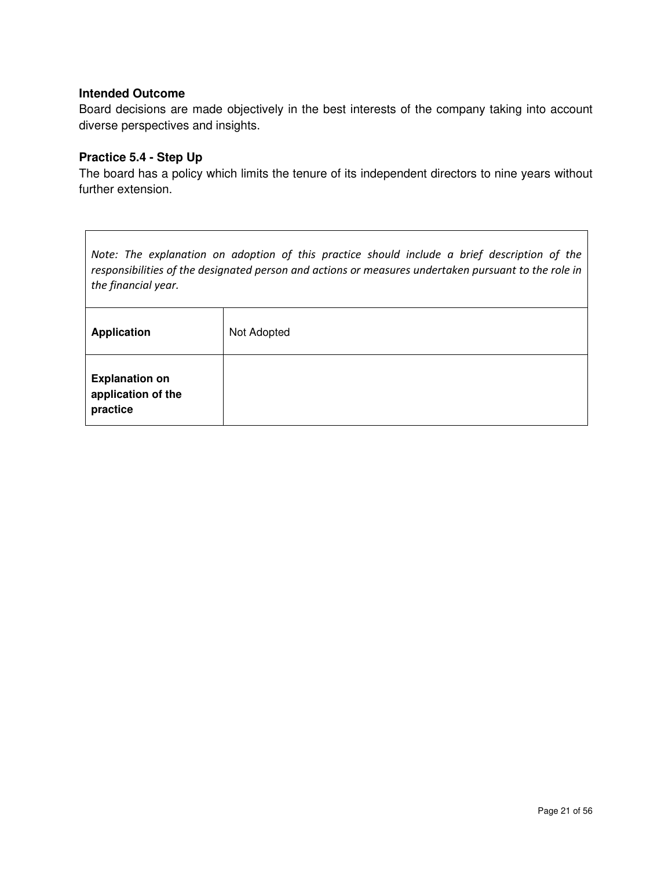Board decisions are made objectively in the best interests of the company taking into account diverse perspectives and insights.

#### **Practice 5.4 - Step Up**

The board has a policy which limits the tenure of its independent directors to nine years without further extension.

*Note: The explanation on adoption of this practice should include a brief description of the responsibilities of the designated person and actions or measures undertaken pursuant to the role in the financial year.* 

| <b>Application</b>                                      | Not Adopted |
|---------------------------------------------------------|-------------|
| <b>Explanation on</b><br>application of the<br>practice |             |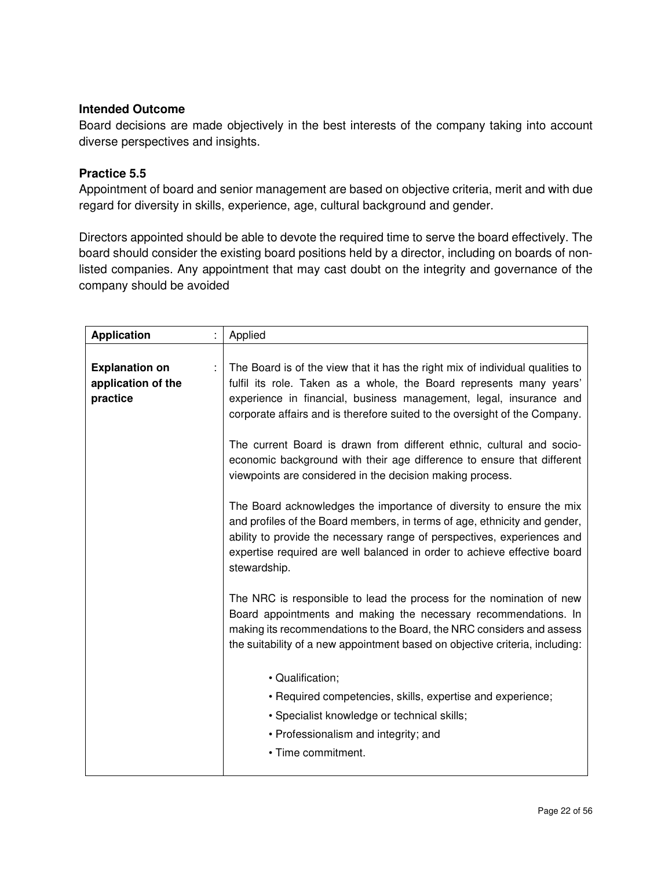Board decisions are made objectively in the best interests of the company taking into account diverse perspectives and insights.

## **Practice 5.5**

Appointment of board and senior management are based on objective criteria, merit and with due regard for diversity in skills, experience, age, cultural background and gender.

Directors appointed should be able to devote the required time to serve the board effectively. The board should consider the existing board positions held by a director, including on boards of nonlisted companies. Any appointment that may cast doubt on the integrity and governance of the company should be avoided

| <b>Application</b>                                      |  | Applied                                                                                                                                                                                                                                                                                                                  |
|---------------------------------------------------------|--|--------------------------------------------------------------------------------------------------------------------------------------------------------------------------------------------------------------------------------------------------------------------------------------------------------------------------|
| <b>Explanation on</b><br>application of the<br>practice |  | The Board is of the view that it has the right mix of individual qualities to<br>fulfil its role. Taken as a whole, the Board represents many years'<br>experience in financial, business management, legal, insurance and<br>corporate affairs and is therefore suited to the oversight of the Company.                 |
|                                                         |  | The current Board is drawn from different ethnic, cultural and socio-<br>economic background with their age difference to ensure that different<br>viewpoints are considered in the decision making process.                                                                                                             |
|                                                         |  | The Board acknowledges the importance of diversity to ensure the mix<br>and profiles of the Board members, in terms of age, ethnicity and gender,<br>ability to provide the necessary range of perspectives, experiences and<br>expertise required are well balanced in order to achieve effective board<br>stewardship. |
|                                                         |  | The NRC is responsible to lead the process for the nomination of new<br>Board appointments and making the necessary recommendations. In<br>making its recommendations to the Board, the NRC considers and assess<br>the suitability of a new appointment based on objective criteria, including:                         |
|                                                         |  | · Qualification;<br>• Required competencies, skills, expertise and experience;<br>• Specialist knowledge or technical skills;<br>• Professionalism and integrity; and<br>• Time commitment.                                                                                                                              |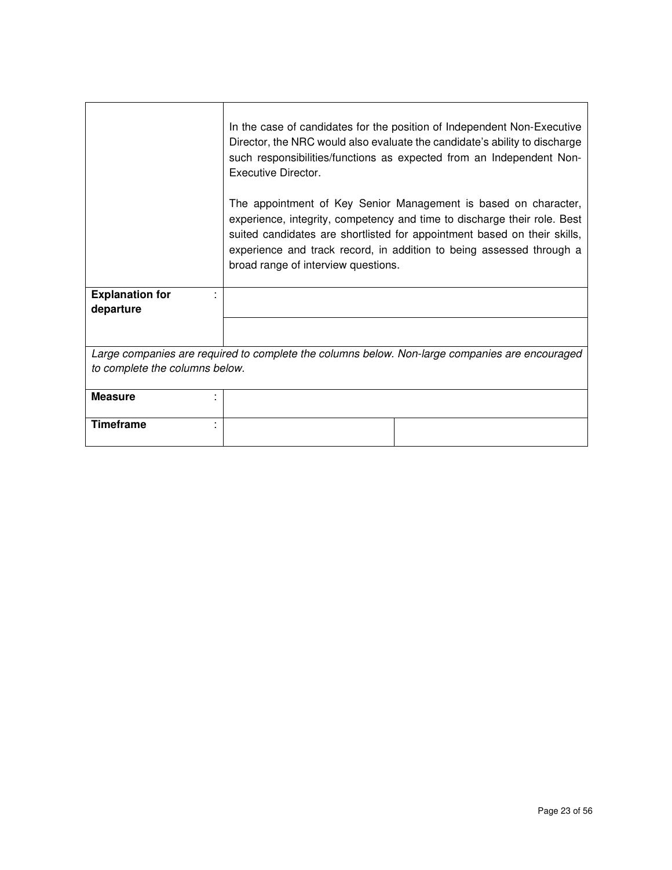|                                                                                                | In the case of candidates for the position of Independent Non-Executive<br>Director, the NRC would also evaluate the candidate's ability to discharge<br>such responsibilities/functions as expected from an Independent Non-<br>Executive Director.                                                                                   |  |
|------------------------------------------------------------------------------------------------|----------------------------------------------------------------------------------------------------------------------------------------------------------------------------------------------------------------------------------------------------------------------------------------------------------------------------------------|--|
|                                                                                                | The appointment of Key Senior Management is based on character,<br>experience, integrity, competency and time to discharge their role. Best<br>suited candidates are shortlisted for appointment based on their skills,<br>experience and track record, in addition to being assessed through a<br>broad range of interview questions. |  |
| <b>Explanation for</b><br>departure                                                            |                                                                                                                                                                                                                                                                                                                                        |  |
|                                                                                                |                                                                                                                                                                                                                                                                                                                                        |  |
| Large companies are required to complete the columns below. Non-large companies are encouraged |                                                                                                                                                                                                                                                                                                                                        |  |
| to complete the columns below.                                                                 |                                                                                                                                                                                                                                                                                                                                        |  |
| <b>Measure</b>                                                                                 |                                                                                                                                                                                                                                                                                                                                        |  |
| <b>Timeframe</b>                                                                               |                                                                                                                                                                                                                                                                                                                                        |  |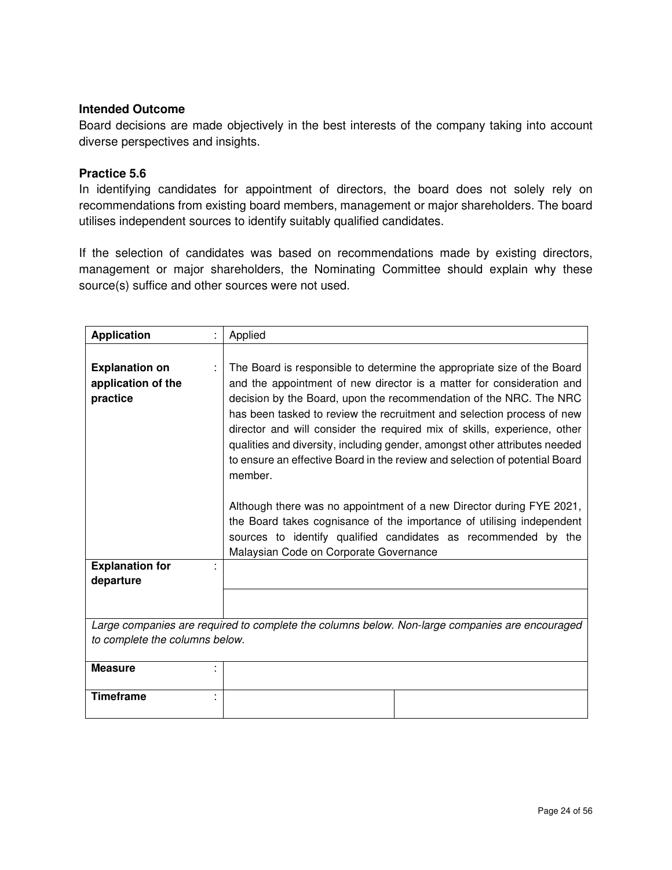Board decisions are made objectively in the best interests of the company taking into account diverse perspectives and insights.

#### **Practice 5.6**

In identifying candidates for appointment of directors, the board does not solely rely on recommendations from existing board members, management or major shareholders. The board utilises independent sources to identify suitably qualified candidates.

If the selection of candidates was based on recommendations made by existing directors, management or major shareholders, the Nominating Committee should explain why these source(s) suffice and other sources were not used.

| <b>Application</b>                                                                             |  | Applied                                                                                                                                                                                                                                                                                                                                                                                                                                                                                                                                                                                                                                                                                                                                                                                                           |  |
|------------------------------------------------------------------------------------------------|--|-------------------------------------------------------------------------------------------------------------------------------------------------------------------------------------------------------------------------------------------------------------------------------------------------------------------------------------------------------------------------------------------------------------------------------------------------------------------------------------------------------------------------------------------------------------------------------------------------------------------------------------------------------------------------------------------------------------------------------------------------------------------------------------------------------------------|--|
| <b>Explanation on</b><br>application of the<br>practice<br><b>Explanation for</b><br>departure |  | The Board is responsible to determine the appropriate size of the Board<br>and the appointment of new director is a matter for consideration and<br>decision by the Board, upon the recommendation of the NRC. The NRC<br>has been tasked to review the recruitment and selection process of new<br>director and will consider the required mix of skills, experience, other<br>qualities and diversity, including gender, amongst other attributes needed<br>to ensure an effective Board in the review and selection of potential Board<br>member.<br>Although there was no appointment of a new Director during FYE 2021,<br>the Board takes cognisance of the importance of utilising independent<br>sources to identify qualified candidates as recommended by the<br>Malaysian Code on Corporate Governance |  |
|                                                                                                |  |                                                                                                                                                                                                                                                                                                                                                                                                                                                                                                                                                                                                                                                                                                                                                                                                                   |  |
| Large companies are required to complete the columns below. Non-large companies are encouraged |  |                                                                                                                                                                                                                                                                                                                                                                                                                                                                                                                                                                                                                                                                                                                                                                                                                   |  |
| to complete the columns below.                                                                 |  |                                                                                                                                                                                                                                                                                                                                                                                                                                                                                                                                                                                                                                                                                                                                                                                                                   |  |
| <b>Measure</b>                                                                                 |  |                                                                                                                                                                                                                                                                                                                                                                                                                                                                                                                                                                                                                                                                                                                                                                                                                   |  |
| <b>Timeframe</b>                                                                               |  |                                                                                                                                                                                                                                                                                                                                                                                                                                                                                                                                                                                                                                                                                                                                                                                                                   |  |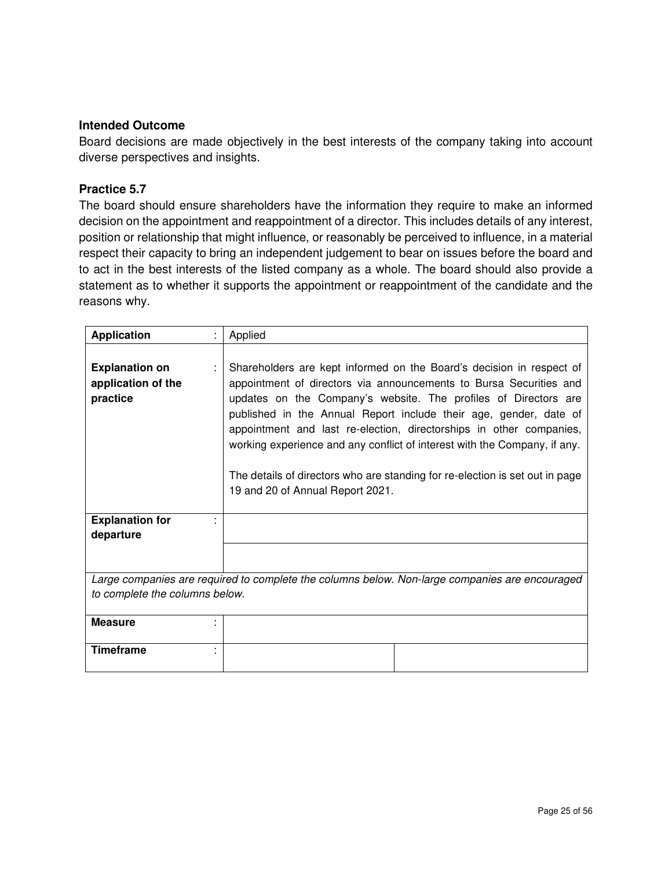Board decisions are made objectively in the best interests of the company taking into account diverse perspectives and insights.

#### **Practice 5.7**

The board should ensure shareholders have the information they require to make an informed decision on the appointment and reappointment of a director. This includes details of any interest, position or relationship that might influence, or reasonably be perceived to influence, in a material respect their capacity to bring an independent judgement to bear on issues before the board and to act in the best interests of the listed company as a whole. The board should also provide a statement as to whether it supports the appointment or reappointment of the candidate and the reasons why.

| <b>Application</b>                                      | Applied                                                                                                                                                                                                                                                                                                                                                                                                                                                                                                                                                    |
|---------------------------------------------------------|------------------------------------------------------------------------------------------------------------------------------------------------------------------------------------------------------------------------------------------------------------------------------------------------------------------------------------------------------------------------------------------------------------------------------------------------------------------------------------------------------------------------------------------------------------|
| <b>Explanation on</b><br>application of the<br>practice | Shareholders are kept informed on the Board's decision in respect of<br>appointment of directors via announcements to Bursa Securities and<br>updates on the Company's website. The profiles of Directors are<br>published in the Annual Report include their age, gender, date of<br>appointment and last re-election, directorships in other companies,<br>working experience and any conflict of interest with the Company, if any.<br>The details of directors who are standing for re-election is set out in page<br>19 and 20 of Annual Report 2021. |
| <b>Explanation for</b><br>departure                     |                                                                                                                                                                                                                                                                                                                                                                                                                                                                                                                                                            |
|                                                         |                                                                                                                                                                                                                                                                                                                                                                                                                                                                                                                                                            |
| to complete the columns below.                          | Large companies are required to complete the columns below. Non-large companies are encouraged                                                                                                                                                                                                                                                                                                                                                                                                                                                             |
|                                                         |                                                                                                                                                                                                                                                                                                                                                                                                                                                                                                                                                            |
| <b>Measure</b>                                          |                                                                                                                                                                                                                                                                                                                                                                                                                                                                                                                                                            |
| <b>Timeframe</b>                                        |                                                                                                                                                                                                                                                                                                                                                                                                                                                                                                                                                            |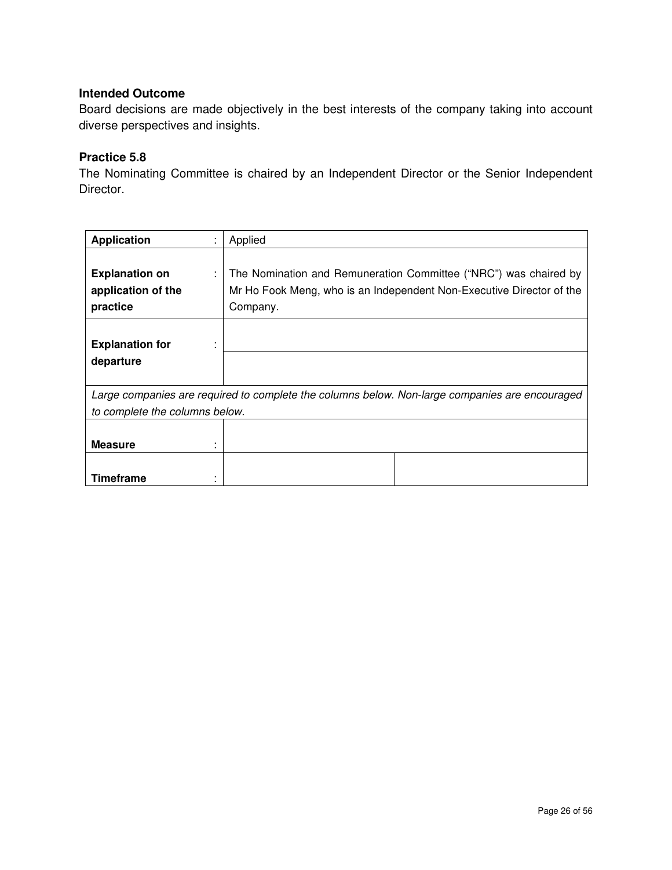Board decisions are made objectively in the best interests of the company taking into account diverse perspectives and insights.

## **Practice 5.8**

The Nominating Committee is chaired by an Independent Director or the Senior Independent Director.

| <b>Application</b>                                           | Applied                                                                                                                                              |
|--------------------------------------------------------------|------------------------------------------------------------------------------------------------------------------------------------------------------|
| <b>Explanation on</b><br>÷<br>application of the<br>practice | The Nomination and Remuneration Committee ("NRC") was chaired by<br>Mr Ho Fook Meng, who is an Independent Non-Executive Director of the<br>Company. |
| <b>Explanation for</b><br>departure                          |                                                                                                                                                      |
|                                                              |                                                                                                                                                      |
|                                                              | Large companies are required to complete the columns below. Non-large companies are encouraged                                                       |
| to complete the columns below.                               |                                                                                                                                                      |
| <b>Measure</b>                                               |                                                                                                                                                      |
| <b>Timeframe</b>                                             |                                                                                                                                                      |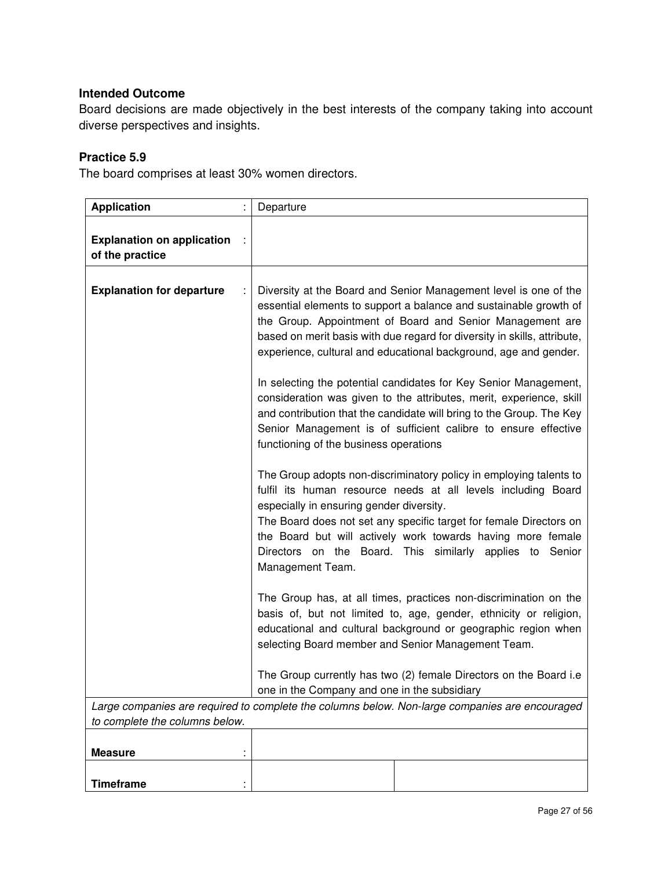Board decisions are made objectively in the best interests of the company taking into account diverse perspectives and insights.

## **Practice 5.9**

The board comprises at least 30% women directors.

| <b>Application</b>                                   | Departure                                                                                                                                                                                                                                                                                                                                                                                                                                                                                     |
|------------------------------------------------------|-----------------------------------------------------------------------------------------------------------------------------------------------------------------------------------------------------------------------------------------------------------------------------------------------------------------------------------------------------------------------------------------------------------------------------------------------------------------------------------------------|
| <b>Explanation on application</b><br>of the practice |                                                                                                                                                                                                                                                                                                                                                                                                                                                                                               |
| <b>Explanation for departure</b>                     | Diversity at the Board and Senior Management level is one of the<br>essential elements to support a balance and sustainable growth of<br>the Group. Appointment of Board and Senior Management are<br>based on merit basis with due regard for diversity in skills, attribute,<br>experience, cultural and educational background, age and gender.<br>In selecting the potential candidates for Key Senior Management,<br>consideration was given to the attributes, merit, experience, skill |
|                                                      | and contribution that the candidate will bring to the Group. The Key<br>Senior Management is of sufficient calibre to ensure effective<br>functioning of the business operations                                                                                                                                                                                                                                                                                                              |
|                                                      | The Group adopts non-discriminatory policy in employing talents to<br>fulfil its human resource needs at all levels including Board<br>especially in ensuring gender diversity.<br>The Board does not set any specific target for female Directors on<br>the Board but will actively work towards having more female<br>Directors on the Board. This similarly applies to Senior<br>Management Team.                                                                                          |
|                                                      | The Group has, at all times, practices non-discrimination on the<br>basis of, but not limited to, age, gender, ethnicity or religion,<br>educational and cultural background or geographic region when<br>selecting Board member and Senior Management Team.                                                                                                                                                                                                                                  |
|                                                      | The Group currently has two (2) female Directors on the Board i.e<br>one in the Company and one in the subsidiary                                                                                                                                                                                                                                                                                                                                                                             |
| to complete the columns below.                       | Large companies are required to complete the columns below. Non-large companies are encouraged                                                                                                                                                                                                                                                                                                                                                                                                |
|                                                      |                                                                                                                                                                                                                                                                                                                                                                                                                                                                                               |
| <b>Measure</b>                                       |                                                                                                                                                                                                                                                                                                                                                                                                                                                                                               |
| <b>Timeframe</b>                                     |                                                                                                                                                                                                                                                                                                                                                                                                                                                                                               |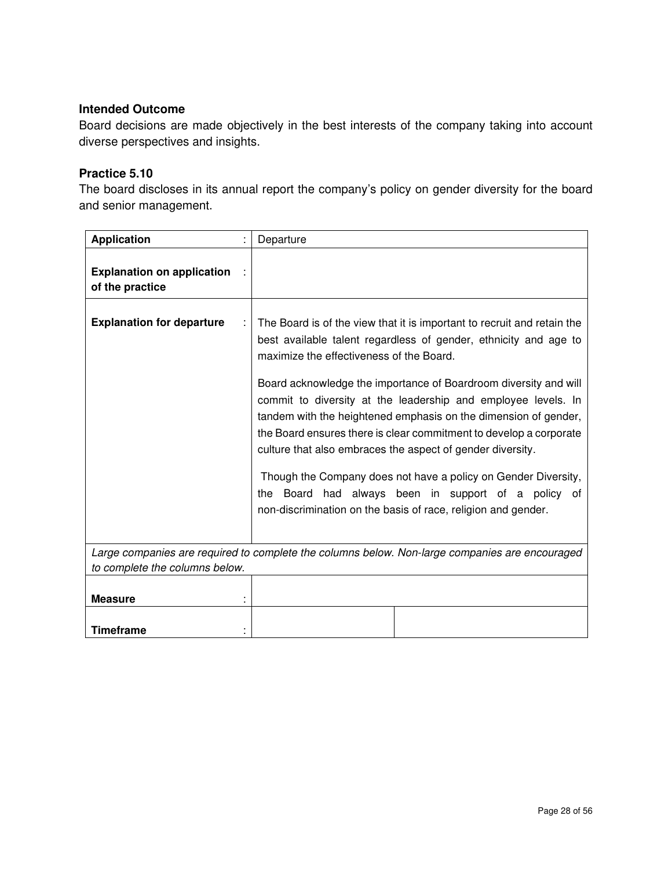Board decisions are made objectively in the best interests of the company taking into account diverse perspectives and insights.

## **Practice 5.10**

The board discloses in its annual report the company's policy on gender diversity for the board and senior management.

| <b>Application</b>                                   | Departure                                                                                                                                                                                                                                                                                                                                                                                                                                                                                                                                                                                                                                                                                                                        |
|------------------------------------------------------|----------------------------------------------------------------------------------------------------------------------------------------------------------------------------------------------------------------------------------------------------------------------------------------------------------------------------------------------------------------------------------------------------------------------------------------------------------------------------------------------------------------------------------------------------------------------------------------------------------------------------------------------------------------------------------------------------------------------------------|
| <b>Explanation on application</b><br>of the practice |                                                                                                                                                                                                                                                                                                                                                                                                                                                                                                                                                                                                                                                                                                                                  |
| <b>Explanation for departure</b>                     | The Board is of the view that it is important to recruit and retain the<br>best available talent regardless of gender, ethnicity and age to<br>maximize the effectiveness of the Board.<br>Board acknowledge the importance of Boardroom diversity and will<br>commit to diversity at the leadership and employee levels. In<br>tandem with the heightened emphasis on the dimension of gender,<br>the Board ensures there is clear commitment to develop a corporate<br>culture that also embraces the aspect of gender diversity.<br>Though the Company does not have a policy on Gender Diversity,<br>Board had always been in support of a policy of<br>the<br>non-discrimination on the basis of race, religion and gender. |
| to complete the columns below.                       | Large companies are required to complete the columns below. Non-large companies are encouraged                                                                                                                                                                                                                                                                                                                                                                                                                                                                                                                                                                                                                                   |
|                                                      |                                                                                                                                                                                                                                                                                                                                                                                                                                                                                                                                                                                                                                                                                                                                  |
| <b>Measure</b>                                       |                                                                                                                                                                                                                                                                                                                                                                                                                                                                                                                                                                                                                                                                                                                                  |
|                                                      |                                                                                                                                                                                                                                                                                                                                                                                                                                                                                                                                                                                                                                                                                                                                  |
| <b>Timeframe</b>                                     |                                                                                                                                                                                                                                                                                                                                                                                                                                                                                                                                                                                                                                                                                                                                  |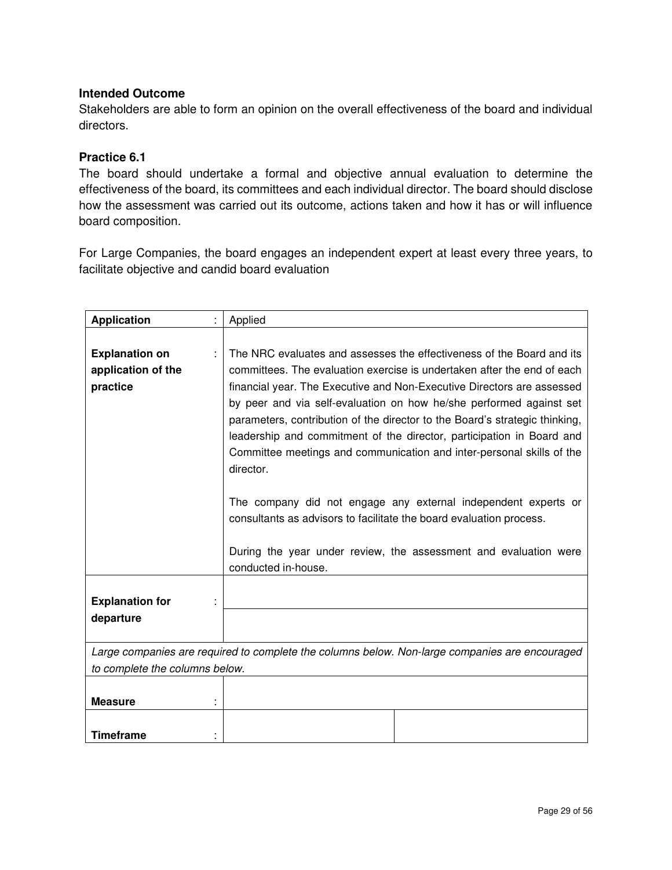Stakeholders are able to form an opinion on the overall effectiveness of the board and individual directors.

## **Practice 6.1**

The board should undertake a formal and objective annual evaluation to determine the effectiveness of the board, its committees and each individual director. The board should disclose how the assessment was carried out its outcome, actions taken and how it has or will influence board composition.

For Large Companies, the board engages an independent expert at least every three years, to facilitate objective and candid board evaluation

| <b>Application</b>                                      | Applied                                                                                                                                                                                                                                                                                                                                                                                                                                                                                                                                                                                                                                                                                                                                                      |
|---------------------------------------------------------|--------------------------------------------------------------------------------------------------------------------------------------------------------------------------------------------------------------------------------------------------------------------------------------------------------------------------------------------------------------------------------------------------------------------------------------------------------------------------------------------------------------------------------------------------------------------------------------------------------------------------------------------------------------------------------------------------------------------------------------------------------------|
| <b>Explanation on</b><br>application of the<br>practice | The NRC evaluates and assesses the effectiveness of the Board and its<br>committees. The evaluation exercise is undertaken after the end of each<br>financial year. The Executive and Non-Executive Directors are assessed<br>by peer and via self-evaluation on how he/she performed against set<br>parameters, contribution of the director to the Board's strategic thinking,<br>leadership and commitment of the director, participation in Board and<br>Committee meetings and communication and inter-personal skills of the<br>director.<br>The company did not engage any external independent experts or<br>consultants as advisors to facilitate the board evaluation process.<br>During the year under review, the assessment and evaluation were |
|                                                         | conducted in-house.                                                                                                                                                                                                                                                                                                                                                                                                                                                                                                                                                                                                                                                                                                                                          |
| <b>Explanation for</b><br>departure                     |                                                                                                                                                                                                                                                                                                                                                                                                                                                                                                                                                                                                                                                                                                                                                              |
|                                                         | Large companies are required to complete the columns below. Non-large companies are encouraged                                                                                                                                                                                                                                                                                                                                                                                                                                                                                                                                                                                                                                                               |
| to complete the columns below.                          |                                                                                                                                                                                                                                                                                                                                                                                                                                                                                                                                                                                                                                                                                                                                                              |
| <b>Measure</b>                                          |                                                                                                                                                                                                                                                                                                                                                                                                                                                                                                                                                                                                                                                                                                                                                              |
| <b>Timeframe</b>                                        |                                                                                                                                                                                                                                                                                                                                                                                                                                                                                                                                                                                                                                                                                                                                                              |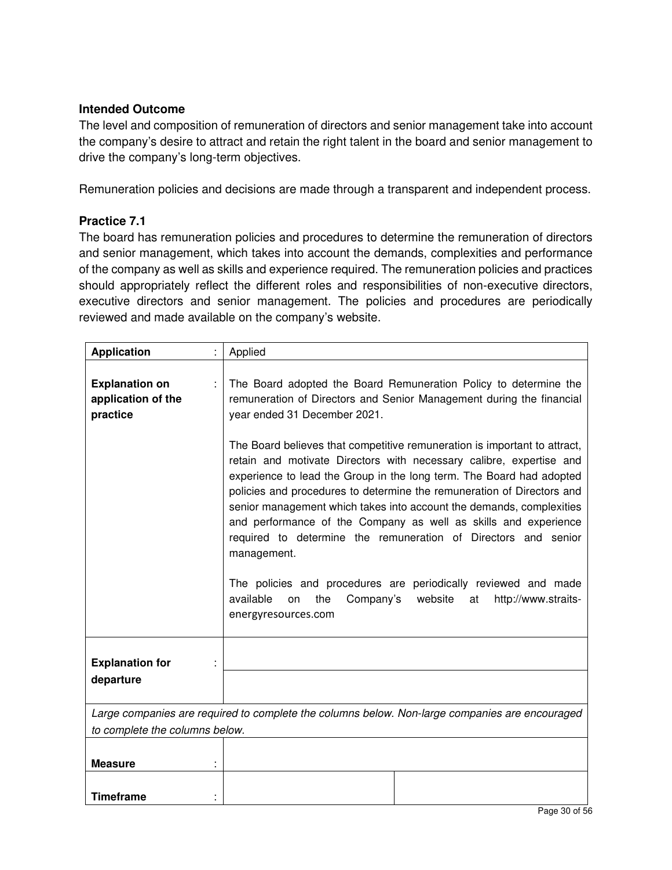The level and composition of remuneration of directors and senior management take into account the company's desire to attract and retain the right talent in the board and senior management to drive the company's long-term objectives.

Remuneration policies and decisions are made through a transparent and independent process.

#### **Practice 7.1**

The board has remuneration policies and procedures to determine the remuneration of directors and senior management, which takes into account the demands, complexities and performance of the company as well as skills and experience required. The remuneration policies and practices should appropriately reflect the different roles and responsibilities of non-executive directors, executive directors and senior management. The policies and procedures are periodically reviewed and made available on the company's website.

| <b>Application</b>                                      | Applied                                                                                                                                                                                                                                                                                                                                                                                                                                                                                                                                                                                                                                                                                                |
|---------------------------------------------------------|--------------------------------------------------------------------------------------------------------------------------------------------------------------------------------------------------------------------------------------------------------------------------------------------------------------------------------------------------------------------------------------------------------------------------------------------------------------------------------------------------------------------------------------------------------------------------------------------------------------------------------------------------------------------------------------------------------|
| <b>Explanation on</b><br>application of the<br>practice | The Board adopted the Board Remuneration Policy to determine the<br>remuneration of Directors and Senior Management during the financial<br>year ended 31 December 2021.                                                                                                                                                                                                                                                                                                                                                                                                                                                                                                                               |
|                                                         | The Board believes that competitive remuneration is important to attract,<br>retain and motivate Directors with necessary calibre, expertise and<br>experience to lead the Group in the long term. The Board had adopted<br>policies and procedures to determine the remuneration of Directors and<br>senior management which takes into account the demands, complexities<br>and performance of the Company as well as skills and experience<br>required to determine the remuneration of Directors and senior<br>management.<br>The policies and procedures are periodically reviewed and made<br>available<br>the<br>Company's<br>website<br>on<br>at<br>http://www.straits-<br>energyresources.com |
| <b>Explanation for</b><br>departure                     |                                                                                                                                                                                                                                                                                                                                                                                                                                                                                                                                                                                                                                                                                                        |
|                                                         |                                                                                                                                                                                                                                                                                                                                                                                                                                                                                                                                                                                                                                                                                                        |
| to complete the columns below.                          | Large companies are required to complete the columns below. Non-large companies are encouraged                                                                                                                                                                                                                                                                                                                                                                                                                                                                                                                                                                                                         |
|                                                         |                                                                                                                                                                                                                                                                                                                                                                                                                                                                                                                                                                                                                                                                                                        |
| <b>Measure</b>                                          |                                                                                                                                                                                                                                                                                                                                                                                                                                                                                                                                                                                                                                                                                                        |
| <b>Timeframe</b>                                        |                                                                                                                                                                                                                                                                                                                                                                                                                                                                                                                                                                                                                                                                                                        |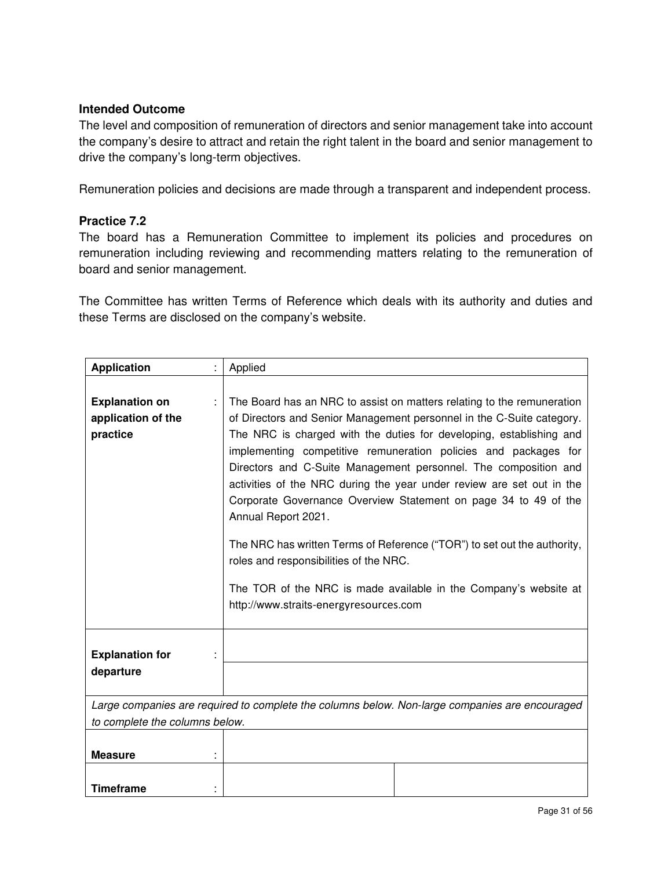The level and composition of remuneration of directors and senior management take into account the company's desire to attract and retain the right talent in the board and senior management to drive the company's long-term objectives.

Remuneration policies and decisions are made through a transparent and independent process.

#### **Practice 7.2**

The board has a Remuneration Committee to implement its policies and procedures on remuneration including reviewing and recommending matters relating to the remuneration of board and senior management.

The Committee has written Terms of Reference which deals with its authority and duties and these Terms are disclosed on the company's website.

| <b>Application</b>                                      | Applied                                                                                                                                                                                                                                                                                                                                                                                                                                                                                                                                                                                                                                                                                                                                                             |  |  |  |  |  |
|---------------------------------------------------------|---------------------------------------------------------------------------------------------------------------------------------------------------------------------------------------------------------------------------------------------------------------------------------------------------------------------------------------------------------------------------------------------------------------------------------------------------------------------------------------------------------------------------------------------------------------------------------------------------------------------------------------------------------------------------------------------------------------------------------------------------------------------|--|--|--|--|--|
| <b>Explanation on</b><br>application of the<br>practice | The Board has an NRC to assist on matters relating to the remuneration<br>of Directors and Senior Management personnel in the C-Suite category.<br>The NRC is charged with the duties for developing, establishing and<br>implementing competitive remuneration policies and packages for<br>Directors and C-Suite Management personnel. The composition and<br>activities of the NRC during the year under review are set out in the<br>Corporate Governance Overview Statement on page 34 to 49 of the<br>Annual Report 2021.<br>The NRC has written Terms of Reference ("TOR") to set out the authority,<br>roles and responsibilities of the NRC.<br>The TOR of the NRC is made available in the Company's website at<br>http://www.straits-energyresources.com |  |  |  |  |  |
| <b>Explanation for</b><br>departure                     |                                                                                                                                                                                                                                                                                                                                                                                                                                                                                                                                                                                                                                                                                                                                                                     |  |  |  |  |  |
| to complete the columns below.                          | Large companies are required to complete the columns below. Non-large companies are encouraged                                                                                                                                                                                                                                                                                                                                                                                                                                                                                                                                                                                                                                                                      |  |  |  |  |  |
| <b>Measure</b>                                          |                                                                                                                                                                                                                                                                                                                                                                                                                                                                                                                                                                                                                                                                                                                                                                     |  |  |  |  |  |
| <b>Timeframe</b>                                        |                                                                                                                                                                                                                                                                                                                                                                                                                                                                                                                                                                                                                                                                                                                                                                     |  |  |  |  |  |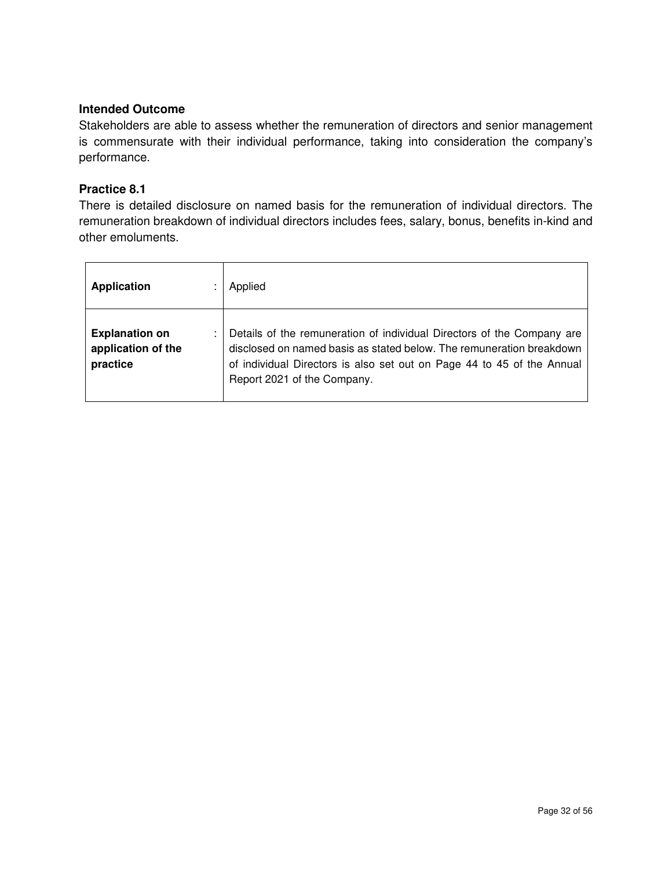Stakeholders are able to assess whether the remuneration of directors and senior management is commensurate with their individual performance, taking into consideration the company's performance.

#### **Practice 8.1**

There is detailed disclosure on named basis for the remuneration of individual directors. The remuneration breakdown of individual directors includes fees, salary, bonus, benefits in-kind and other emoluments.

| <b>Application</b>                                      | Applied                                                                                                                                                                                                                                                 |
|---------------------------------------------------------|---------------------------------------------------------------------------------------------------------------------------------------------------------------------------------------------------------------------------------------------------------|
| <b>Explanation on</b><br>application of the<br>practice | Details of the remuneration of individual Directors of the Company are<br>disclosed on named basis as stated below. The remuneration breakdown<br>of individual Directors is also set out on Page 44 to 45 of the Annual<br>Report 2021 of the Company. |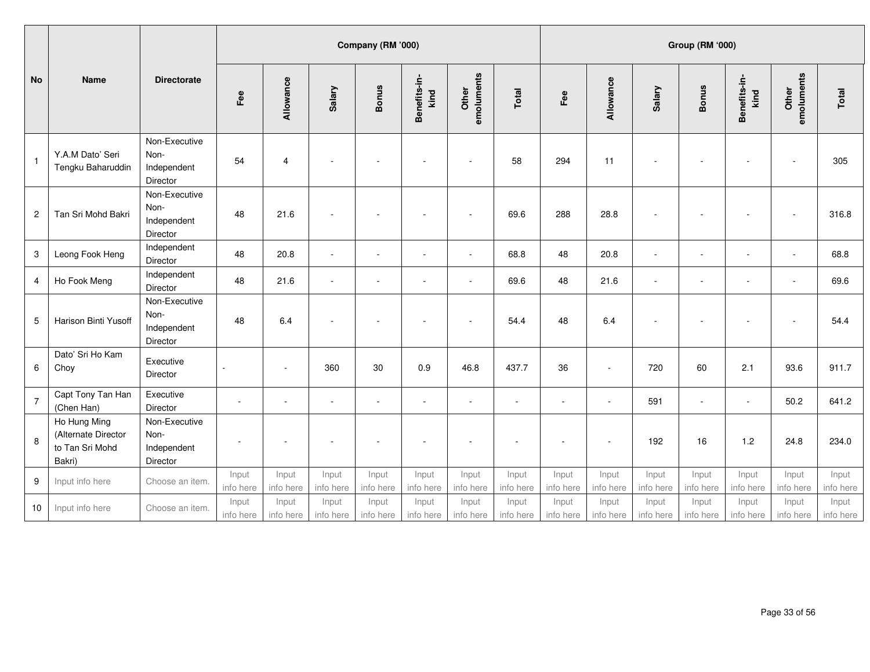|                         | Company (RM '000)                                                |                                                  |                    |                          |                          |                          |                          |                          |                    |                    |                    |                    | Group (RM '000)    |                      |                     |                    |
|-------------------------|------------------------------------------------------------------|--------------------------------------------------|--------------------|--------------------------|--------------------------|--------------------------|--------------------------|--------------------------|--------------------|--------------------|--------------------|--------------------|--------------------|----------------------|---------------------|--------------------|
| <b>No</b>               | <b>Name</b>                                                      | <b>Directorate</b>                               | Fee                | Allowance                | Salary                   | <b>Bonus</b>             | Benefits-in-<br>kind     | emoluments<br>Other      | Total              | Fee                | Allowance          | Salary             | <b>Bonus</b>       | Benefits-in-<br>kind | emoluments<br>Other | Total              |
| $\mathbf{1}$            | Y.A.M Dato' Seri<br>Tengku Baharuddin                            | Non-Executive<br>Non-<br>Independent<br>Director | 54                 | $\overline{4}$           | ÷,                       | $\overline{\phantom{a}}$ | $\blacksquare$           | $\overline{\phantom{a}}$ | 58                 | 294                | 11                 | $\sim$             | $\sim$             | ÷,                   |                     | 305                |
| $\overline{\mathbf{c}}$ | Tan Sri Mohd Bakri                                               | Non-Executive<br>Non-<br>Independent<br>Director | 48                 | 21.6                     | $\overline{\phantom{a}}$ | $\blacksquare$           | $\blacksquare$           | $\sim$                   | 69.6               | 288                | 28.8               | $\sim$             |                    |                      |                     | 316.8              |
| 3                       | Leong Fook Heng                                                  | Independent<br>Director                          | 48                 | 20.8                     | $\overline{\phantom{a}}$ | $\overline{\phantom{a}}$ | $\blacksquare$           | $\overline{\phantom{a}}$ | 68.8               | 48                 | 20.8               | $\blacksquare$     | $\blacksquare$     | $\blacksquare$       | $\sim$              | 68.8               |
| 4                       | Ho Fook Meng                                                     | Independent<br>Director                          | 48                 | 21.6                     | ÷,                       | ÷.                       | $\overline{\phantom{a}}$ | $\sim$                   | 69.6               | 48                 | 21.6               | $\sim$             | $\overline{a}$     | ÷,                   | $\sim$              | 69.6               |
| 5                       | Harison Binti Yusoff                                             | Non-Executive<br>Non-<br>Independent<br>Director | 48                 | 6.4                      | ÷,                       | ÷.                       | $\overline{\phantom{a}}$ | $\sim$                   | 54.4               | 48                 | 6.4                | $\sim$             |                    |                      |                     | 54.4               |
| 6                       | Dato' Sri Ho Kam<br>Choy                                         | Executive<br>Director                            |                    | $\sim$                   | 360                      | 30                       | 0.9                      | 46.8                     | 437.7              | 36                 | $\sim$             | 720                | 60                 | 2.1                  | 93.6                | 911.7              |
| $\overline{7}$          | Capt Tony Tan Han<br>(Chen Han)                                  | Executive<br>Director                            | $\sim$             | $\overline{\phantom{a}}$ | $\sim$                   | ÷.                       | $\overline{\phantom{a}}$ | $\sim$                   | $\sim$             | $\sim$             | $\blacksquare$     | 591                | $\blacksquare$     | $\mathbf{r}$         | 50.2                | 641.2              |
| 8                       | Ho Hung Ming<br>(Alternate Director<br>to Tan Sri Mohd<br>Bakri) | Non-Executive<br>Non-<br>Independent<br>Director | ٠                  |                          | ٠                        | $\overline{\phantom{a}}$ | $\blacksquare$           | $\overline{\phantom{a}}$ | $\sim$             | $\sim$             | $\sim$             | 192                | 16                 | 1.2                  | 24.8                | 234.0              |
| 9                       | Input info here                                                  | Choose an item.                                  | Input<br>info here | Input<br>info here       | Input<br>info here       | Input<br>info here       | Input<br>info here       | Input<br>info here       | Input<br>info here | Input<br>info here | Input<br>info here | Input<br>info here | Input<br>info here | Input<br>info here   | Input<br>info here  | Input<br>info here |
| 10                      | Input info here                                                  | Choose an item.                                  | Input<br>info here | Input<br>info here       | Input<br>info here       | Input<br>info here       | Input<br>info here       | Input<br>info here       | Input<br>info here | Input<br>info here | Input<br>info here | Input<br>info here | Input<br>info here | Input<br>info here   | Input<br>info here  | Input<br>info here |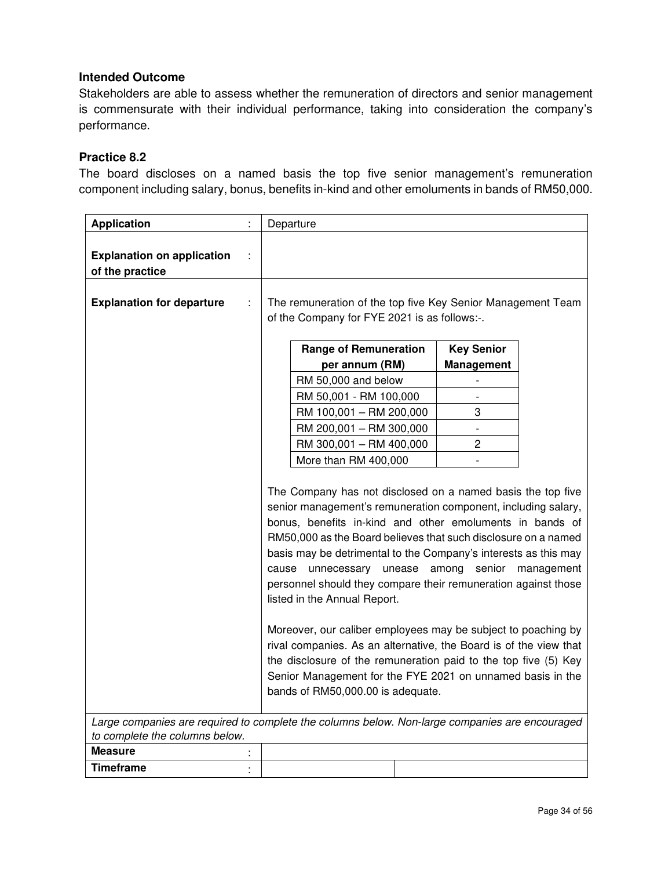Stakeholders are able to assess whether the remuneration of directors and senior management is commensurate with their individual performance, taking into consideration the company's performance.

#### **Practice 8.2**

The board discloses on a named basis the top five senior management's remuneration component including salary, bonus, benefits in-kind and other emoluments in bands of RM50,000.

| <b>Application</b>                                                                                                               | Departure                                                                                                                                                                                                                                                                                                                                                                                                                                                                                                                                                                                                                                                                                                                                       |                                 |            |
|----------------------------------------------------------------------------------------------------------------------------------|-------------------------------------------------------------------------------------------------------------------------------------------------------------------------------------------------------------------------------------------------------------------------------------------------------------------------------------------------------------------------------------------------------------------------------------------------------------------------------------------------------------------------------------------------------------------------------------------------------------------------------------------------------------------------------------------------------------------------------------------------|---------------------------------|------------|
| <b>Explanation on application</b><br>of the practice                                                                             |                                                                                                                                                                                                                                                                                                                                                                                                                                                                                                                                                                                                                                                                                                                                                 |                                 |            |
| <b>Explanation for departure</b>                                                                                                 | The remuneration of the top five Key Senior Management Team<br>of the Company for FYE 2021 is as follows:-.                                                                                                                                                                                                                                                                                                                                                                                                                                                                                                                                                                                                                                     |                                 |            |
|                                                                                                                                  | <b>Range of Remuneration</b><br>per annum (RM)                                                                                                                                                                                                                                                                                                                                                                                                                                                                                                                                                                                                                                                                                                  | <b>Key Senior</b><br>Management |            |
|                                                                                                                                  | RM 50,000 and below                                                                                                                                                                                                                                                                                                                                                                                                                                                                                                                                                                                                                                                                                                                             | $\overline{a}$                  |            |
|                                                                                                                                  | RM 50,001 - RM 100,000                                                                                                                                                                                                                                                                                                                                                                                                                                                                                                                                                                                                                                                                                                                          |                                 |            |
|                                                                                                                                  | RM 100,001 - RM 200,000                                                                                                                                                                                                                                                                                                                                                                                                                                                                                                                                                                                                                                                                                                                         | 3                               |            |
|                                                                                                                                  | RM 200,001 - RM 300,000                                                                                                                                                                                                                                                                                                                                                                                                                                                                                                                                                                                                                                                                                                                         |                                 |            |
|                                                                                                                                  | RM 300,001 - RM 400,000                                                                                                                                                                                                                                                                                                                                                                                                                                                                                                                                                                                                                                                                                                                         | $\overline{2}$                  |            |
|                                                                                                                                  | More than RM 400,000                                                                                                                                                                                                                                                                                                                                                                                                                                                                                                                                                                                                                                                                                                                            | $\qquad \qquad \blacksquare$    |            |
|                                                                                                                                  | The Company has not disclosed on a named basis the top five<br>senior management's remuneration component, including salary,<br>bonus, benefits in-kind and other emoluments in bands of<br>RM50,000 as the Board believes that such disclosure on a named<br>basis may be detrimental to the Company's interests as this may<br>cause unnecessary unease among senior<br>personnel should they compare their remuneration against those<br>listed in the Annual Report.<br>Moreover, our caliber employees may be subject to poaching by<br>rival companies. As an alternative, the Board is of the view that<br>the disclosure of the remuneration paid to the top five (5) Key<br>Senior Management for the FYE 2021 on unnamed basis in the |                                 | management |
|                                                                                                                                  | bands of RM50,000.00 is adequate.                                                                                                                                                                                                                                                                                                                                                                                                                                                                                                                                                                                                                                                                                                               |                                 |            |
| Large companies are required to complete the columns below. Non-large companies are encouraged<br>to complete the columns below. |                                                                                                                                                                                                                                                                                                                                                                                                                                                                                                                                                                                                                                                                                                                                                 |                                 |            |
| <b>Measure</b>                                                                                                                   |                                                                                                                                                                                                                                                                                                                                                                                                                                                                                                                                                                                                                                                                                                                                                 |                                 |            |
| Timeframe                                                                                                                        |                                                                                                                                                                                                                                                                                                                                                                                                                                                                                                                                                                                                                                                                                                                                                 |                                 |            |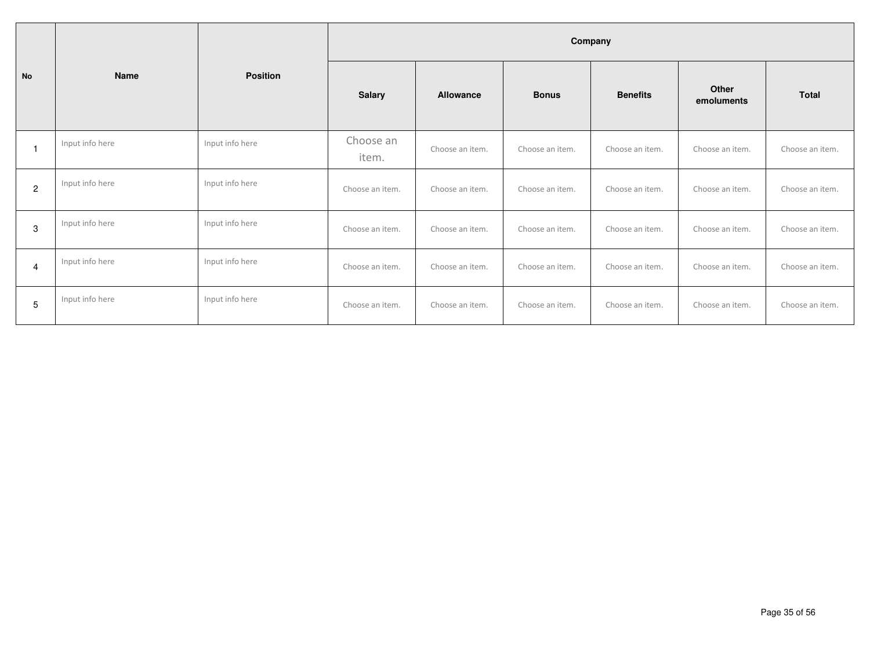|                |                 |                 | Company            |                 |                 |                 |                     |                 |  |  |  |
|----------------|-----------------|-----------------|--------------------|-----------------|-----------------|-----------------|---------------------|-----------------|--|--|--|
| <b>No</b>      | <b>Name</b>     | <b>Position</b> | <b>Salary</b>      | Allowance       | <b>Bonus</b>    | <b>Benefits</b> | Other<br>emoluments | <b>Total</b>    |  |  |  |
|                | Input info here | Input info here | Choose an<br>item. | Choose an item. | Choose an item. | Choose an item. | Choose an item.     | Choose an item. |  |  |  |
| $\overline{2}$ | Input info here | Input info here | Choose an item.    | Choose an item. | Choose an item. | Choose an item. | Choose an item.     | Choose an item. |  |  |  |
| 3              | Input info here | Input info here | Choose an item.    | Choose an item. | Choose an item. | Choose an item. | Choose an item.     | Choose an item. |  |  |  |
| 4              | Input info here | Input info here | Choose an item.    | Choose an item. | Choose an item. | Choose an item. | Choose an item.     | Choose an item. |  |  |  |
| 5              | Input info here | Input info here | Choose an item.    | Choose an item. | Choose an item. | Choose an item. | Choose an item.     | Choose an item. |  |  |  |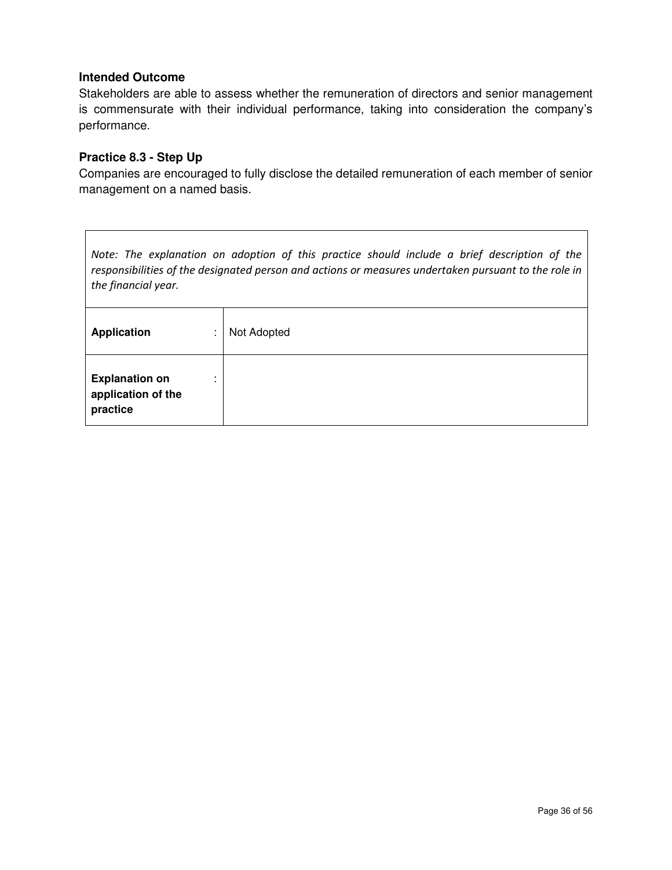Stakeholders are able to assess whether the remuneration of directors and senior management is commensurate with their individual performance, taking into consideration the company's performance.

#### **Practice 8.3 - Step Up**

Companies are encouraged to fully disclose the detailed remuneration of each member of senior management on a named basis.

*Note: The explanation on adoption of this practice should include a brief description of the responsibilities of the designated person and actions or measures undertaken pursuant to the role in the financial year.* 

| Application<br>$\blacksquare$<br>$\mathbf{r}$           | Not Adopted |
|---------------------------------------------------------|-------------|
| <b>Explanation on</b><br>application of the<br>practice |             |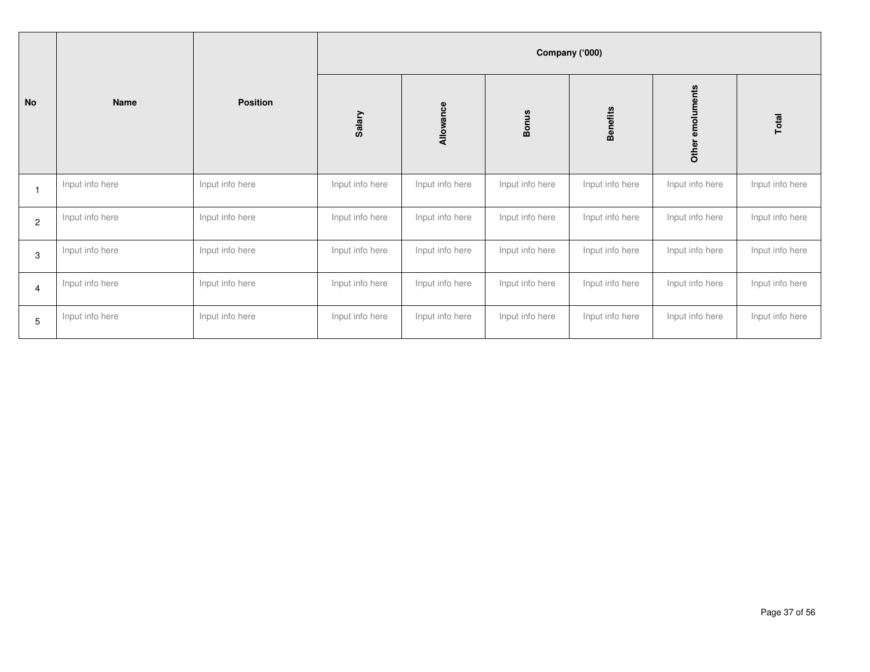|                   |                 |                 | Company ('000)  |                 |                 |                 |                     |                 |
|-------------------|-----------------|-----------------|-----------------|-----------------|-----------------|-----------------|---------------------|-----------------|
| <b>No</b><br>Name |                 | <b>Position</b> | Salary          | Allowance       | <b>Bonus</b>    | <b>Benefits</b> | emoluments<br>Other | Total           |
|                   | Input info here | Input info here | Input info here | Input info here | Input info here | Input info here | Input info here     | Input info here |
| $\overline{2}$    | Input info here | Input info here | Input info here | Input info here | Input info here | Input info here | Input info here     | Input info here |
| 3                 | Input info here | Input info here | Input info here | Input info here | Input info here | Input info here | Input info here     | Input info here |
| $\overline{4}$    | Input info here | Input info here | Input info here | Input info here | Input info here | Input info here | Input info here     | Input info here |
| 5                 | Input info here | Input info here | Input info here | Input info here | Input info here | Input info here | Input info here     | Input info here |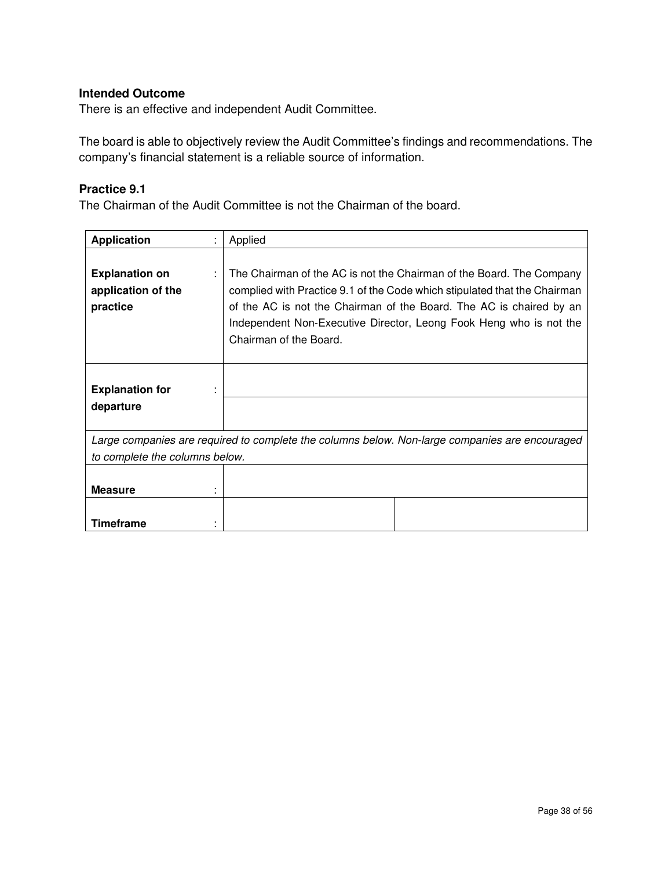There is an effective and independent Audit Committee.

The board is able to objectively review the Audit Committee's findings and recommendations. The company's financial statement is a reliable source of information.

## **Practice 9.1**

The Chairman of the Audit Committee is not the Chairman of the board.

| <b>Application</b>                                      |   | Applied                                                                                                                                                                                                                                                                                                                  |
|---------------------------------------------------------|---|--------------------------------------------------------------------------------------------------------------------------------------------------------------------------------------------------------------------------------------------------------------------------------------------------------------------------|
| <b>Explanation on</b><br>application of the<br>practice | ÷ | The Chairman of the AC is not the Chairman of the Board. The Company<br>complied with Practice 9.1 of the Code which stipulated that the Chairman<br>of the AC is not the Chairman of the Board. The AC is chaired by an<br>Independent Non-Executive Director, Leong Fook Heng who is not the<br>Chairman of the Board. |
| <b>Explanation for</b><br>departure                     |   |                                                                                                                                                                                                                                                                                                                          |
|                                                         |   | Large companies are required to complete the columns below. Non-large companies are encouraged                                                                                                                                                                                                                           |
| to complete the columns below.                          |   |                                                                                                                                                                                                                                                                                                                          |
| <b>Measure</b>                                          |   |                                                                                                                                                                                                                                                                                                                          |
| Timeframe                                               |   |                                                                                                                                                                                                                                                                                                                          |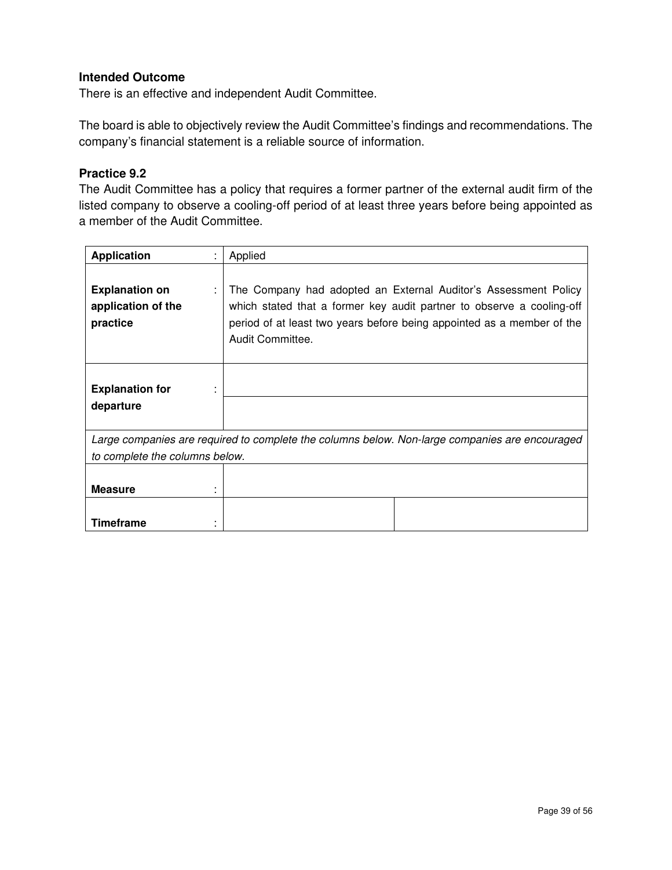There is an effective and independent Audit Committee.

The board is able to objectively review the Audit Committee's findings and recommendations. The company's financial statement is a reliable source of information.

## **Practice 9.2**

The Audit Committee has a policy that requires a former partner of the external audit firm of the listed company to observe a cooling-off period of at least three years before being appointed as a member of the Audit Committee.

| <b>Application</b>                                      | Applied                                                                                                                                                                                                                                |  |
|---------------------------------------------------------|----------------------------------------------------------------------------------------------------------------------------------------------------------------------------------------------------------------------------------------|--|
| <b>Explanation on</b><br>application of the<br>practice | The Company had adopted an External Auditor's Assessment Policy<br>which stated that a former key audit partner to observe a cooling-off<br>period of at least two years before being appointed as a member of the<br>Audit Committee. |  |
| <b>Explanation for</b><br>departure                     |                                                                                                                                                                                                                                        |  |
|                                                         | Large companies are required to complete the columns below. Non-large companies are encouraged                                                                                                                                         |  |
| to complete the columns below.                          |                                                                                                                                                                                                                                        |  |
| <b>Measure</b>                                          |                                                                                                                                                                                                                                        |  |
| Timeframe                                               |                                                                                                                                                                                                                                        |  |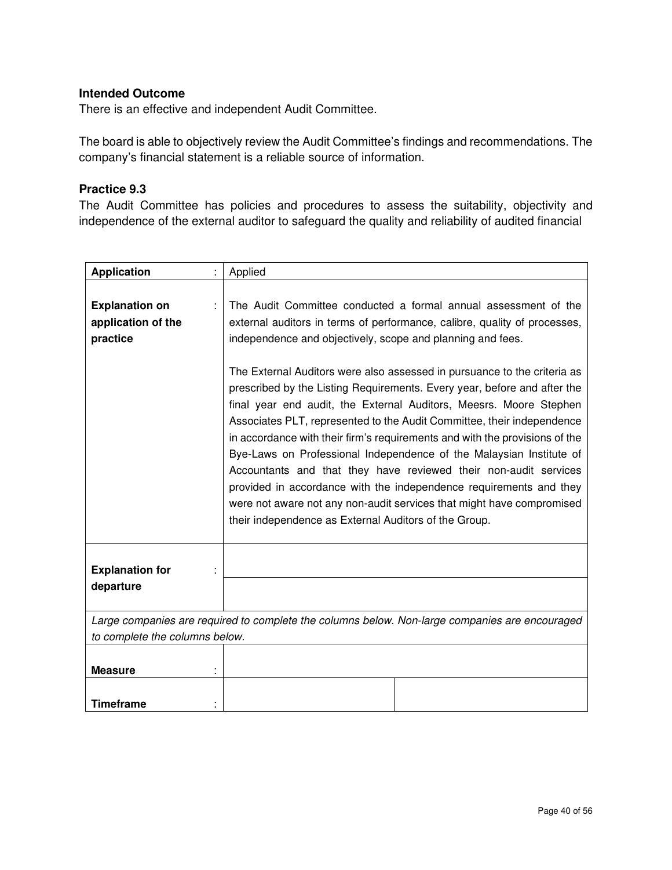There is an effective and independent Audit Committee.

The board is able to objectively review the Audit Committee's findings and recommendations. The company's financial statement is a reliable source of information.

#### **Practice 9.3**

The Audit Committee has policies and procedures to assess the suitability, objectivity and independence of the external auditor to safeguard the quality and reliability of audited financial

| <b>Application</b>                                                                                                               |  | Applied                                                                                                                                                                                                                                                                                                                                                                                                                                                                                                                                                                                                                                                                                                                                                                                                                                                                                                                                              |  |
|----------------------------------------------------------------------------------------------------------------------------------|--|------------------------------------------------------------------------------------------------------------------------------------------------------------------------------------------------------------------------------------------------------------------------------------------------------------------------------------------------------------------------------------------------------------------------------------------------------------------------------------------------------------------------------------------------------------------------------------------------------------------------------------------------------------------------------------------------------------------------------------------------------------------------------------------------------------------------------------------------------------------------------------------------------------------------------------------------------|--|
| <b>Explanation on</b><br>application of the<br>practice                                                                          |  | The Audit Committee conducted a formal annual assessment of the<br>external auditors in terms of performance, calibre, quality of processes,<br>independence and objectively, scope and planning and fees.<br>The External Auditors were also assessed in pursuance to the criteria as<br>prescribed by the Listing Requirements. Every year, before and after the<br>final year end audit, the External Auditors, Meesrs. Moore Stephen<br>Associates PLT, represented to the Audit Committee, their independence<br>in accordance with their firm's requirements and with the provisions of the<br>Bye-Laws on Professional Independence of the Malaysian Institute of<br>Accountants and that they have reviewed their non-audit services<br>provided in accordance with the independence requirements and they<br>were not aware not any non-audit services that might have compromised<br>their independence as External Auditors of the Group. |  |
| <b>Explanation for</b><br>departure                                                                                              |  |                                                                                                                                                                                                                                                                                                                                                                                                                                                                                                                                                                                                                                                                                                                                                                                                                                                                                                                                                      |  |
| Large companies are required to complete the columns below. Non-large companies are encouraged<br>to complete the columns below. |  |                                                                                                                                                                                                                                                                                                                                                                                                                                                                                                                                                                                                                                                                                                                                                                                                                                                                                                                                                      |  |
|                                                                                                                                  |  |                                                                                                                                                                                                                                                                                                                                                                                                                                                                                                                                                                                                                                                                                                                                                                                                                                                                                                                                                      |  |
| <b>Measure</b>                                                                                                                   |  |                                                                                                                                                                                                                                                                                                                                                                                                                                                                                                                                                                                                                                                                                                                                                                                                                                                                                                                                                      |  |
| <b>Timeframe</b>                                                                                                                 |  |                                                                                                                                                                                                                                                                                                                                                                                                                                                                                                                                                                                                                                                                                                                                                                                                                                                                                                                                                      |  |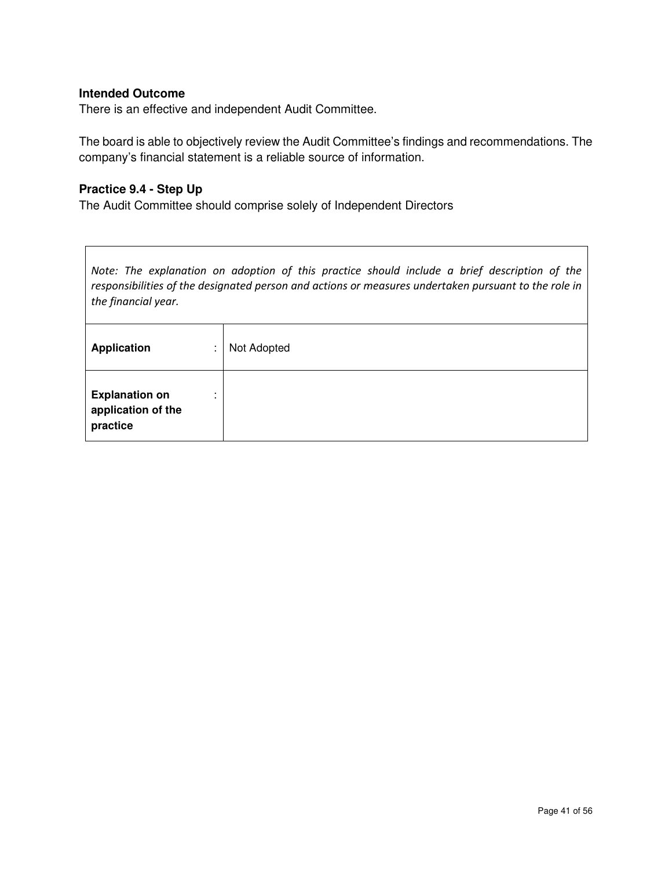There is an effective and independent Audit Committee.

The board is able to objectively review the Audit Committee's findings and recommendations. The company's financial statement is a reliable source of information.

## **Practice 9.4 - Step Up**

The Audit Committee should comprise solely of Independent Directors

*Note: The explanation on adoption of this practice should include a brief description of the responsibilities of the designated person and actions or measures undertaken pursuant to the role in the financial year.* 

| <b>Application</b><br>٠<br>$\mathbf{r}$                                 | Not Adopted |
|-------------------------------------------------------------------------|-------------|
| <b>Explanation on</b><br>$\mathbf{r}$<br>application of the<br>practice |             |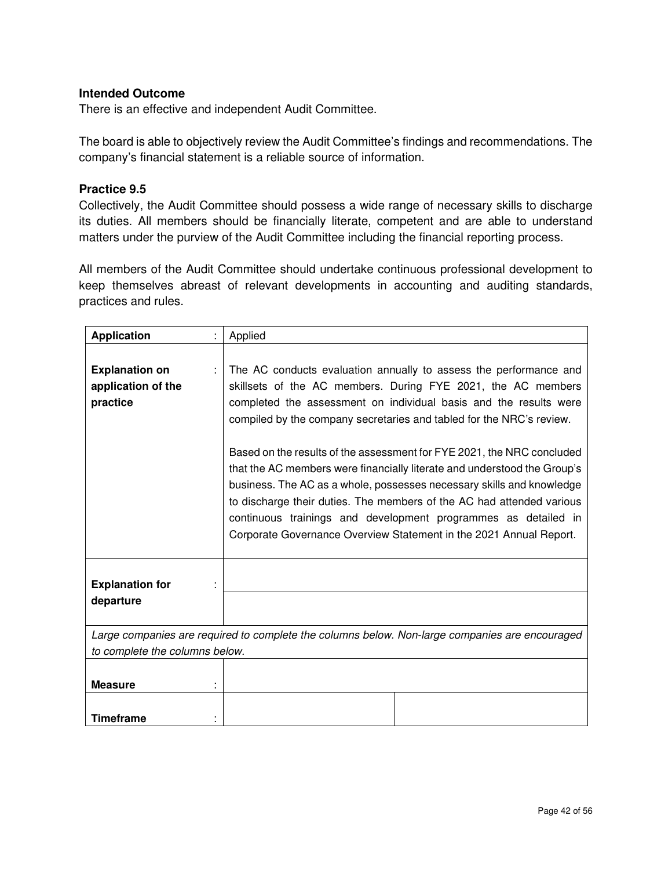There is an effective and independent Audit Committee.

The board is able to objectively review the Audit Committee's findings and recommendations. The company's financial statement is a reliable source of information.

#### **Practice 9.5**

Collectively, the Audit Committee should possess a wide range of necessary skills to discharge its duties. All members should be financially literate, competent and are able to understand matters under the purview of the Audit Committee including the financial reporting process.

All members of the Audit Committee should undertake continuous professional development to keep themselves abreast of relevant developments in accounting and auditing standards, practices and rules.

| <b>Application</b>                                      | Applied                                                                                                                                                                                                                                                                                                                                                                                                                                                                                                                                                                                                                                                                                                                        |
|---------------------------------------------------------|--------------------------------------------------------------------------------------------------------------------------------------------------------------------------------------------------------------------------------------------------------------------------------------------------------------------------------------------------------------------------------------------------------------------------------------------------------------------------------------------------------------------------------------------------------------------------------------------------------------------------------------------------------------------------------------------------------------------------------|
| <b>Explanation on</b><br>application of the<br>practice | The AC conducts evaluation annually to assess the performance and<br>skillsets of the AC members. During FYE 2021, the AC members<br>completed the assessment on individual basis and the results were<br>compiled by the company secretaries and tabled for the NRC's review.<br>Based on the results of the assessment for FYE 2021, the NRC concluded<br>that the AC members were financially literate and understood the Group's<br>business. The AC as a whole, possesses necessary skills and knowledge<br>to discharge their duties. The members of the AC had attended various<br>continuous trainings and development programmes as detailed in<br>Corporate Governance Overview Statement in the 2021 Annual Report. |
| <b>Explanation for</b><br>departure                     |                                                                                                                                                                                                                                                                                                                                                                                                                                                                                                                                                                                                                                                                                                                                |
|                                                         | Large companies are required to complete the columns below. Non-large companies are encouraged                                                                                                                                                                                                                                                                                                                                                                                                                                                                                                                                                                                                                                 |
| to complete the columns below.                          |                                                                                                                                                                                                                                                                                                                                                                                                                                                                                                                                                                                                                                                                                                                                |
| <b>Measure</b>                                          |                                                                                                                                                                                                                                                                                                                                                                                                                                                                                                                                                                                                                                                                                                                                |
| <b>Timeframe</b>                                        |                                                                                                                                                                                                                                                                                                                                                                                                                                                                                                                                                                                                                                                                                                                                |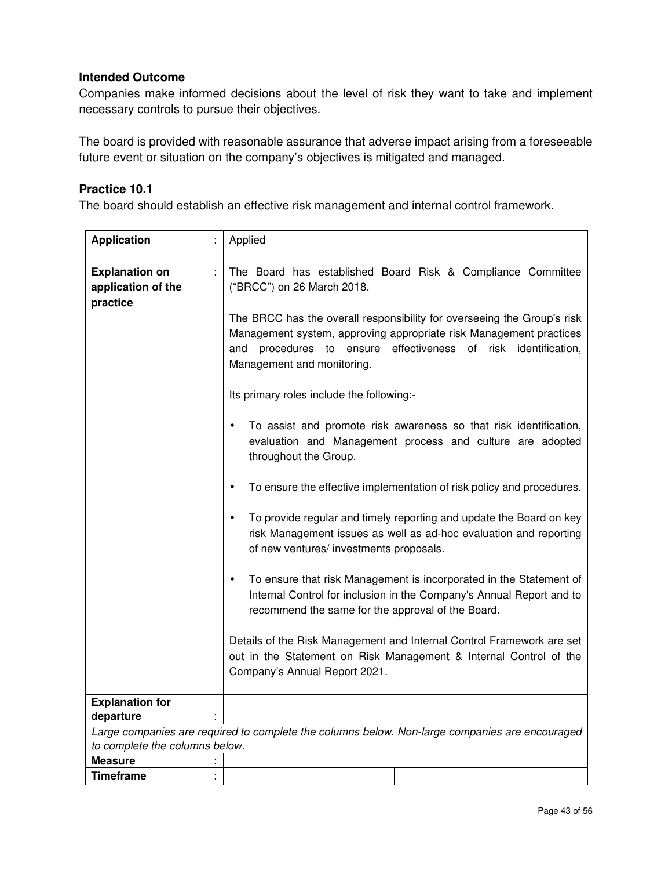Companies make informed decisions about the level of risk they want to take and implement necessary controls to pursue their objectives.

The board is provided with reasonable assurance that adverse impact arising from a foreseeable future event or situation on the company's objectives is mitigated and managed.

#### **Practice 10.1**

The board should establish an effective risk management and internal control framework.

| <b>Application</b>                                      | Applied                                                                                                                                                                                                                                                                                                                                                                                                                                                                                                                                                                                                                                                                                                                                                                                                                                                                                                                                                                                                                                                            |
|---------------------------------------------------------|--------------------------------------------------------------------------------------------------------------------------------------------------------------------------------------------------------------------------------------------------------------------------------------------------------------------------------------------------------------------------------------------------------------------------------------------------------------------------------------------------------------------------------------------------------------------------------------------------------------------------------------------------------------------------------------------------------------------------------------------------------------------------------------------------------------------------------------------------------------------------------------------------------------------------------------------------------------------------------------------------------------------------------------------------------------------|
| <b>Explanation on</b><br>application of the<br>practice | The Board has established Board Risk & Compliance Committee<br>("BRCC") on 26 March 2018.<br>The BRCC has the overall responsibility for overseeing the Group's risk<br>Management system, approving appropriate risk Management practices<br>effectiveness of risk identification,<br>and procedures<br>to ensure<br>Management and monitoring.<br>Its primary roles include the following:-<br>To assist and promote risk awareness so that risk identification,<br>$\bullet$<br>evaluation and Management process and culture are adopted<br>throughout the Group.<br>To ensure the effective implementation of risk policy and procedures.<br>$\bullet$<br>To provide regular and timely reporting and update the Board on key<br>$\bullet$<br>risk Management issues as well as ad-hoc evaluation and reporting<br>of new ventures/ investments proposals.<br>To ensure that risk Management is incorporated in the Statement of<br>Internal Control for inclusion in the Company's Annual Report and to<br>recommend the same for the approval of the Board. |
|                                                         | Details of the Risk Management and Internal Control Framework are set<br>out in the Statement on Risk Management & Internal Control of the<br>Company's Annual Report 2021.                                                                                                                                                                                                                                                                                                                                                                                                                                                                                                                                                                                                                                                                                                                                                                                                                                                                                        |
| <b>Explanation for</b>                                  |                                                                                                                                                                                                                                                                                                                                                                                                                                                                                                                                                                                                                                                                                                                                                                                                                                                                                                                                                                                                                                                                    |
| departure                                               |                                                                                                                                                                                                                                                                                                                                                                                                                                                                                                                                                                                                                                                                                                                                                                                                                                                                                                                                                                                                                                                                    |
|                                                         | Large companies are required to complete the columns below. Non-large companies are encouraged                                                                                                                                                                                                                                                                                                                                                                                                                                                                                                                                                                                                                                                                                                                                                                                                                                                                                                                                                                     |
| to complete the columns below.                          |                                                                                                                                                                                                                                                                                                                                                                                                                                                                                                                                                                                                                                                                                                                                                                                                                                                                                                                                                                                                                                                                    |
| <b>Measure</b>                                          |                                                                                                                                                                                                                                                                                                                                                                                                                                                                                                                                                                                                                                                                                                                                                                                                                                                                                                                                                                                                                                                                    |
| <b>Timeframe</b>                                        |                                                                                                                                                                                                                                                                                                                                                                                                                                                                                                                                                                                                                                                                                                                                                                                                                                                                                                                                                                                                                                                                    |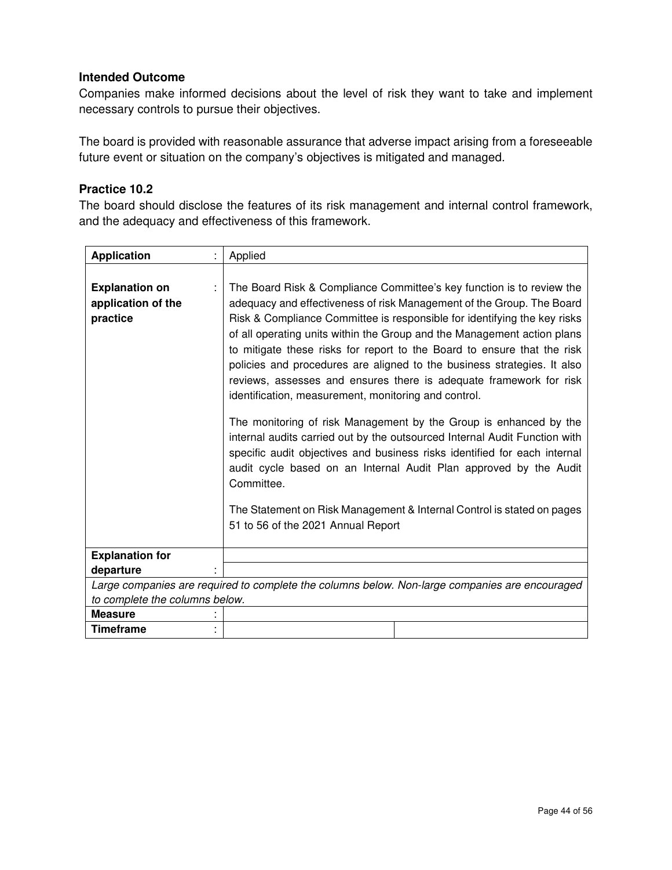Companies make informed decisions about the level of risk they want to take and implement necessary controls to pursue their objectives.

The board is provided with reasonable assurance that adverse impact arising from a foreseeable future event or situation on the company's objectives is mitigated and managed.

#### **Practice 10.2**

The board should disclose the features of its risk management and internal control framework, and the adequacy and effectiveness of this framework.

| <b>Application</b>                                                                             | Applied                                                                                                                                                                                                                                                                                                                                                                                                                                                                                                                                                                                                                                                                                                                                                                                                                                                                                                                                                                                                                      |  |
|------------------------------------------------------------------------------------------------|------------------------------------------------------------------------------------------------------------------------------------------------------------------------------------------------------------------------------------------------------------------------------------------------------------------------------------------------------------------------------------------------------------------------------------------------------------------------------------------------------------------------------------------------------------------------------------------------------------------------------------------------------------------------------------------------------------------------------------------------------------------------------------------------------------------------------------------------------------------------------------------------------------------------------------------------------------------------------------------------------------------------------|--|
| <b>Explanation on</b><br>application of the<br>practice                                        | The Board Risk & Compliance Committee's key function is to review the<br>adequacy and effectiveness of risk Management of the Group. The Board<br>Risk & Compliance Committee is responsible for identifying the key risks<br>of all operating units within the Group and the Management action plans<br>to mitigate these risks for report to the Board to ensure that the risk<br>policies and procedures are aligned to the business strategies. It also<br>reviews, assesses and ensures there is adequate framework for risk<br>identification, measurement, monitoring and control.<br>The monitoring of risk Management by the Group is enhanced by the<br>internal audits carried out by the outsourced Internal Audit Function with<br>specific audit objectives and business risks identified for each internal<br>audit cycle based on an Internal Audit Plan approved by the Audit<br>Committee.<br>The Statement on Risk Management & Internal Control is stated on pages<br>51 to 56 of the 2021 Annual Report |  |
| <b>Explanation for</b>                                                                         |                                                                                                                                                                                                                                                                                                                                                                                                                                                                                                                                                                                                                                                                                                                                                                                                                                                                                                                                                                                                                              |  |
| departure                                                                                      |                                                                                                                                                                                                                                                                                                                                                                                                                                                                                                                                                                                                                                                                                                                                                                                                                                                                                                                                                                                                                              |  |
| Large companies are required to complete the columns below. Non-large companies are encouraged |                                                                                                                                                                                                                                                                                                                                                                                                                                                                                                                                                                                                                                                                                                                                                                                                                                                                                                                                                                                                                              |  |
| to complete the columns below.                                                                 |                                                                                                                                                                                                                                                                                                                                                                                                                                                                                                                                                                                                                                                                                                                                                                                                                                                                                                                                                                                                                              |  |
| <b>Measure</b>                                                                                 |                                                                                                                                                                                                                                                                                                                                                                                                                                                                                                                                                                                                                                                                                                                                                                                                                                                                                                                                                                                                                              |  |
| <b>Timeframe</b>                                                                               |                                                                                                                                                                                                                                                                                                                                                                                                                                                                                                                                                                                                                                                                                                                                                                                                                                                                                                                                                                                                                              |  |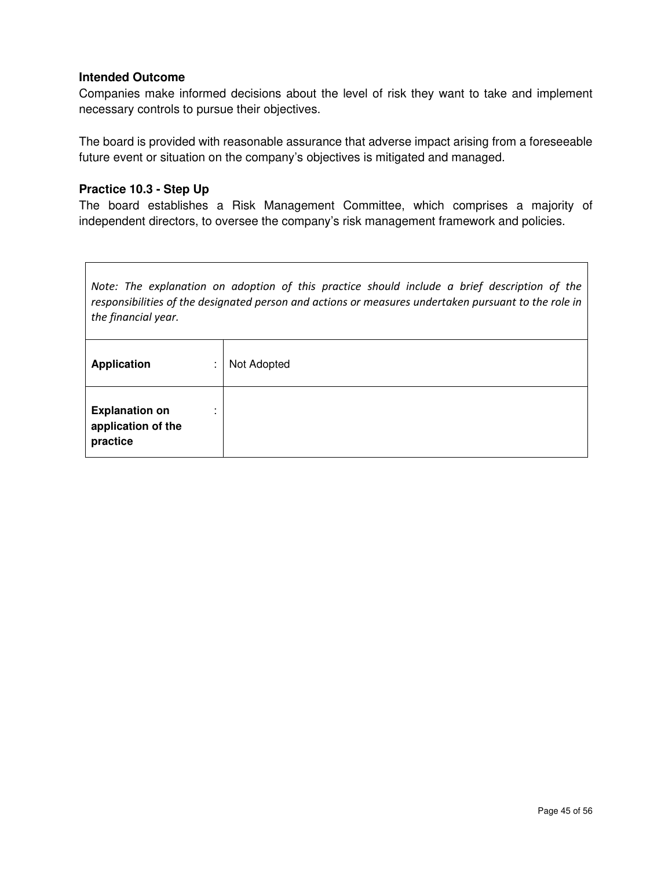Companies make informed decisions about the level of risk they want to take and implement necessary controls to pursue their objectives.

The board is provided with reasonable assurance that adverse impact arising from a foreseeable future event or situation on the company's objectives is mitigated and managed.

#### **Practice 10.3 - Step Up**

The board establishes a Risk Management Committee, which comprises a majority of independent directors, to oversee the company's risk management framework and policies.

*Note: The explanation on adoption of this practice should include a brief description of the responsibilities of the designated person and actions or measures undertaken pursuant to the role in the financial year.* 

| <b>Application</b><br>٠<br>$\mathbf{r}$                      | Not Adopted |
|--------------------------------------------------------------|-------------|
| <b>Explanation on</b><br>٠<br>application of the<br>practice |             |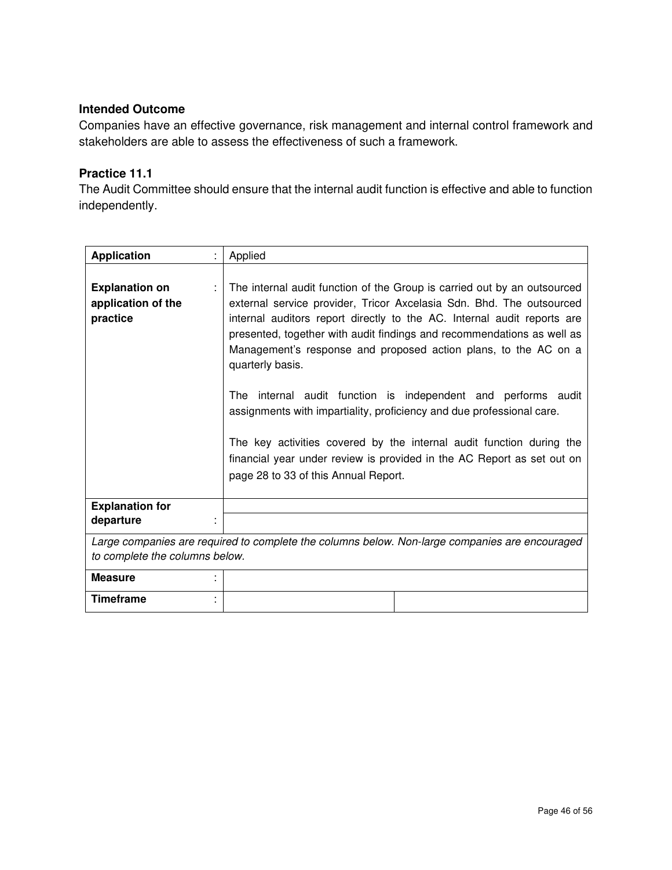Companies have an effective governance, risk management and internal control framework and stakeholders are able to assess the effectiveness of such a framework.

## **Practice 11.1**

The Audit Committee should ensure that the internal audit function is effective and able to function independently.

| <b>Application</b>                                                                                                               | Applied                                                                                                                                                                                                                                                                                                                                                                                                                                                                                                                                                                                                           |  |
|----------------------------------------------------------------------------------------------------------------------------------|-------------------------------------------------------------------------------------------------------------------------------------------------------------------------------------------------------------------------------------------------------------------------------------------------------------------------------------------------------------------------------------------------------------------------------------------------------------------------------------------------------------------------------------------------------------------------------------------------------------------|--|
| <b>Explanation on</b><br>application of the<br>practice                                                                          | The internal audit function of the Group is carried out by an outsourced<br>external service provider, Tricor Axcelasia Sdn. Bhd. The outsourced<br>internal auditors report directly to the AC. Internal audit reports are<br>presented, together with audit findings and recommendations as well as<br>Management's response and proposed action plans, to the AC on a<br>quarterly basis.<br>internal audit function is independent and performs audit<br>The<br>assignments with impartiality, proficiency and due professional care.<br>The key activities covered by the internal audit function during the |  |
|                                                                                                                                  | financial year under review is provided in the AC Report as set out on<br>page 28 to 33 of this Annual Report.                                                                                                                                                                                                                                                                                                                                                                                                                                                                                                    |  |
| <b>Explanation for</b>                                                                                                           |                                                                                                                                                                                                                                                                                                                                                                                                                                                                                                                                                                                                                   |  |
| departure                                                                                                                        |                                                                                                                                                                                                                                                                                                                                                                                                                                                                                                                                                                                                                   |  |
| Large companies are required to complete the columns below. Non-large companies are encouraged<br>to complete the columns below. |                                                                                                                                                                                                                                                                                                                                                                                                                                                                                                                                                                                                                   |  |
| <b>Measure</b>                                                                                                                   |                                                                                                                                                                                                                                                                                                                                                                                                                                                                                                                                                                                                                   |  |
| <b>Timeframe</b>                                                                                                                 |                                                                                                                                                                                                                                                                                                                                                                                                                                                                                                                                                                                                                   |  |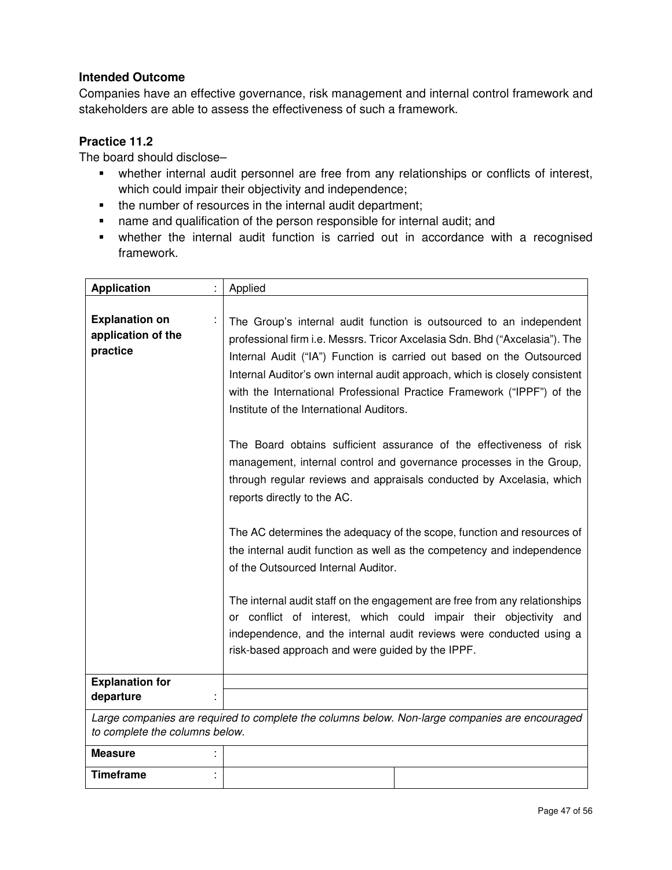Companies have an effective governance, risk management and internal control framework and stakeholders are able to assess the effectiveness of such a framework.

## **Practice 11.2**

The board should disclose–

- whether internal audit personnel are free from any relationships or conflicts of interest, which could impair their objectivity and independence;
- the number of resources in the internal audit department;
- name and qualification of the person responsible for internal audit; and
- whether the internal audit function is carried out in accordance with a recognised framework.

| <b>Application</b>                                                                                                               |  | Applied                                                                                                                                                                                                                                                                                                                                                                                                                          |
|----------------------------------------------------------------------------------------------------------------------------------|--|----------------------------------------------------------------------------------------------------------------------------------------------------------------------------------------------------------------------------------------------------------------------------------------------------------------------------------------------------------------------------------------------------------------------------------|
| <b>Explanation on</b><br>application of the<br>practice                                                                          |  | The Group's internal audit function is outsourced to an independent<br>professional firm i.e. Messrs. Tricor Axcelasia Sdn. Bhd ("Axcelasia"). The<br>Internal Audit ("IA") Function is carried out based on the Outsourced<br>Internal Auditor's own internal audit approach, which is closely consistent<br>with the International Professional Practice Framework ("IPPF") of the<br>Institute of the International Auditors. |
|                                                                                                                                  |  | The Board obtains sufficient assurance of the effectiveness of risk<br>management, internal control and governance processes in the Group,<br>through regular reviews and appraisals conducted by Axcelasia, which<br>reports directly to the AC.                                                                                                                                                                                |
|                                                                                                                                  |  | The AC determines the adequacy of the scope, function and resources of<br>the internal audit function as well as the competency and independence<br>of the Outsourced Internal Auditor.                                                                                                                                                                                                                                          |
|                                                                                                                                  |  | The internal audit staff on the engagement are free from any relationships<br>or conflict of interest, which could impair their objectivity and<br>independence, and the internal audit reviews were conducted using a<br>risk-based approach and were guided by the IPPF.                                                                                                                                                       |
| <b>Explanation for</b>                                                                                                           |  |                                                                                                                                                                                                                                                                                                                                                                                                                                  |
| departure                                                                                                                        |  |                                                                                                                                                                                                                                                                                                                                                                                                                                  |
| Large companies are required to complete the columns below. Non-large companies are encouraged<br>to complete the columns below. |  |                                                                                                                                                                                                                                                                                                                                                                                                                                  |
| <b>Measure</b>                                                                                                                   |  |                                                                                                                                                                                                                                                                                                                                                                                                                                  |
| <b>Timeframe</b>                                                                                                                 |  |                                                                                                                                                                                                                                                                                                                                                                                                                                  |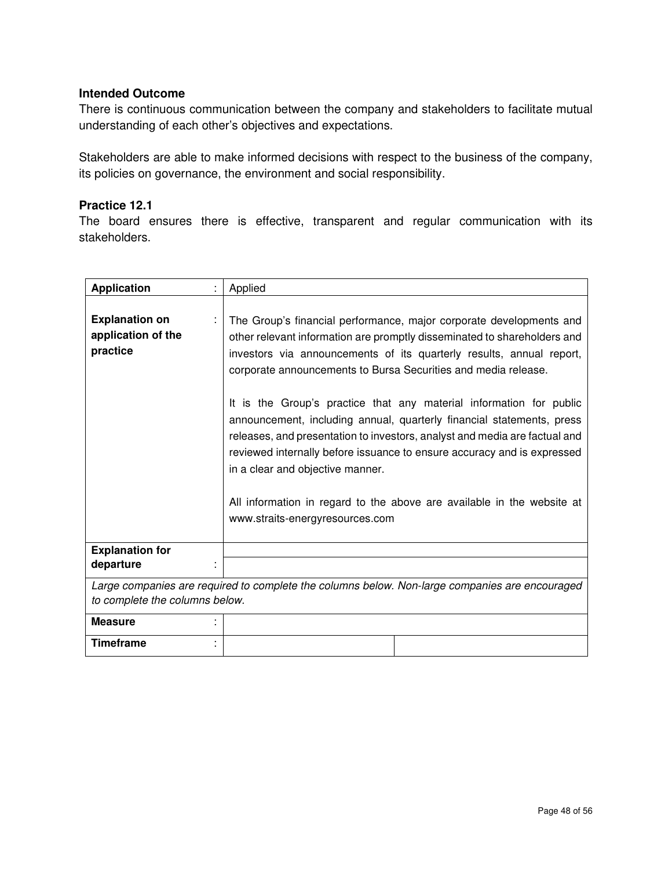There is continuous communication between the company and stakeholders to facilitate mutual understanding of each other's objectives and expectations.

Stakeholders are able to make informed decisions with respect to the business of the company, its policies on governance, the environment and social responsibility.

### **Practice 12.1**

The board ensures there is effective, transparent and regular communication with its stakeholders.

| <b>Application</b>                                      | Applied                                                                                                                                                                                                                                                                                                                                                                                                                                                                                                                                                                                                                                                                                                                                             |
|---------------------------------------------------------|-----------------------------------------------------------------------------------------------------------------------------------------------------------------------------------------------------------------------------------------------------------------------------------------------------------------------------------------------------------------------------------------------------------------------------------------------------------------------------------------------------------------------------------------------------------------------------------------------------------------------------------------------------------------------------------------------------------------------------------------------------|
| <b>Explanation on</b><br>application of the<br>practice | The Group's financial performance, major corporate developments and<br>other relevant information are promptly disseminated to shareholders and<br>investors via announcements of its quarterly results, annual report,<br>corporate announcements to Bursa Securities and media release.<br>It is the Group's practice that any material information for public<br>announcement, including annual, quarterly financial statements, press<br>releases, and presentation to investors, analyst and media are factual and<br>reviewed internally before issuance to ensure accuracy and is expressed<br>in a clear and objective manner.<br>All information in regard to the above are available in the website at<br>www.straits-energyresources.com |
| <b>Explanation for</b>                                  |                                                                                                                                                                                                                                                                                                                                                                                                                                                                                                                                                                                                                                                                                                                                                     |
| departure                                               |                                                                                                                                                                                                                                                                                                                                                                                                                                                                                                                                                                                                                                                                                                                                                     |
|                                                         | Large companies are required to complete the columns below. Non-large companies are encouraged                                                                                                                                                                                                                                                                                                                                                                                                                                                                                                                                                                                                                                                      |
| to complete the columns below.                          |                                                                                                                                                                                                                                                                                                                                                                                                                                                                                                                                                                                                                                                                                                                                                     |
| <b>Measure</b>                                          |                                                                                                                                                                                                                                                                                                                                                                                                                                                                                                                                                                                                                                                                                                                                                     |
| <b>Timeframe</b>                                        |                                                                                                                                                                                                                                                                                                                                                                                                                                                                                                                                                                                                                                                                                                                                                     |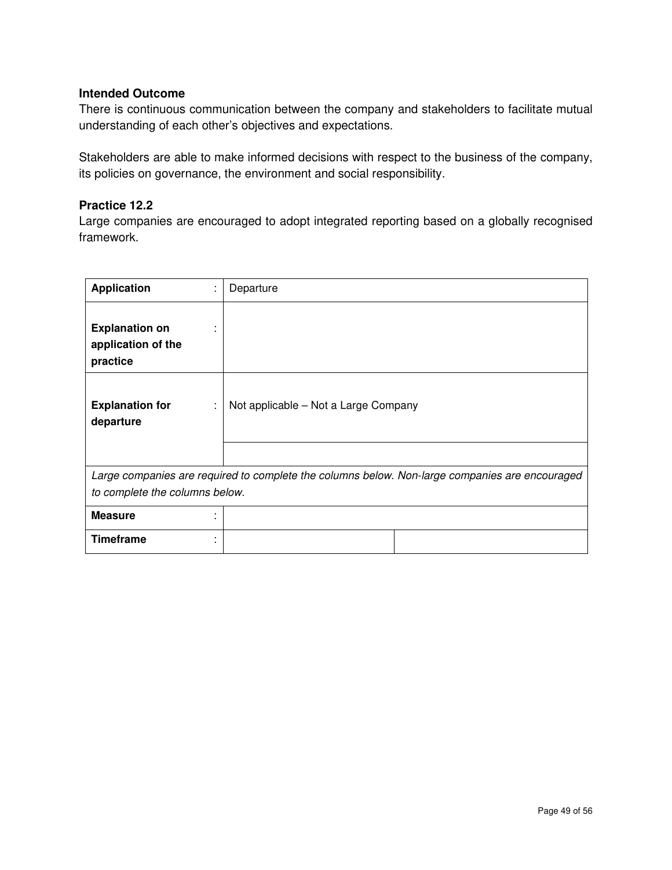There is continuous communication between the company and stakeholders to facilitate mutual understanding of each other's objectives and expectations.

Stakeholders are able to make informed decisions with respect to the business of the company, its policies on governance, the environment and social responsibility.

## **Practice 12.2**

Large companies are encouraged to adopt integrated reporting based on a globally recognised framework.

| <b>Application</b>                                                                             | t | Departure                            |
|------------------------------------------------------------------------------------------------|---|--------------------------------------|
| <b>Explanation on</b><br>application of the<br>practice                                        |   |                                      |
| <b>Explanation for</b><br>departure                                                            | ÷ | Not applicable - Not a Large Company |
|                                                                                                |   |                                      |
| Large companies are required to complete the columns below. Non-large companies are encouraged |   |                                      |
| to complete the columns below.                                                                 |   |                                      |
| <b>Measure</b>                                                                                 | ٠ |                                      |
| <b>Timeframe</b>                                                                               | ٠ |                                      |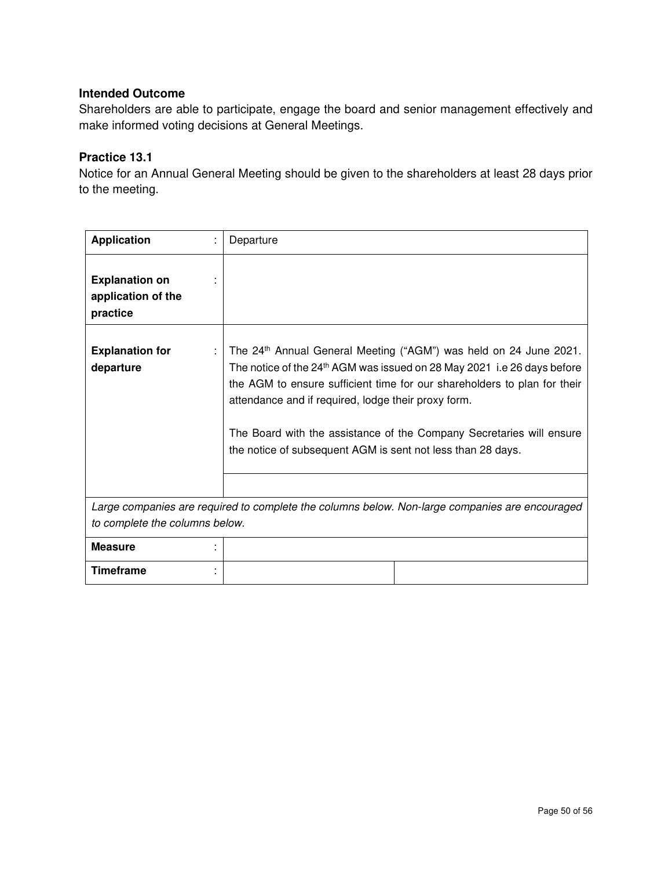Shareholders are able to participate, engage the board and senior management effectively and make informed voting decisions at General Meetings.

## **Practice 13.1**

Notice for an Annual General Meeting should be given to the shareholders at least 28 days prior to the meeting.

| <b>Application</b>                                                                             | Departure                                                                                                                                                                                                                                                                                                                                                                                                                          |  |
|------------------------------------------------------------------------------------------------|------------------------------------------------------------------------------------------------------------------------------------------------------------------------------------------------------------------------------------------------------------------------------------------------------------------------------------------------------------------------------------------------------------------------------------|--|
| <b>Explanation on</b><br>application of the<br>practice                                        |                                                                                                                                                                                                                                                                                                                                                                                                                                    |  |
| <b>Explanation for</b><br>departure                                                            | The 24th Annual General Meeting ("AGM") was held on 24 June 2021.<br>The notice of the 24 <sup>th</sup> AGM was issued on 28 May 2021 i.e 26 days before<br>the AGM to ensure sufficient time for our shareholders to plan for their<br>attendance and if required, lodge their proxy form.<br>The Board with the assistance of the Company Secretaries will ensure<br>the notice of subsequent AGM is sent not less than 28 days. |  |
|                                                                                                |                                                                                                                                                                                                                                                                                                                                                                                                                                    |  |
| Large companies are required to complete the columns below. Non-large companies are encouraged |                                                                                                                                                                                                                                                                                                                                                                                                                                    |  |
| to complete the columns below.                                                                 |                                                                                                                                                                                                                                                                                                                                                                                                                                    |  |
| <b>Measure</b>                                                                                 |                                                                                                                                                                                                                                                                                                                                                                                                                                    |  |
| <b>Timeframe</b>                                                                               |                                                                                                                                                                                                                                                                                                                                                                                                                                    |  |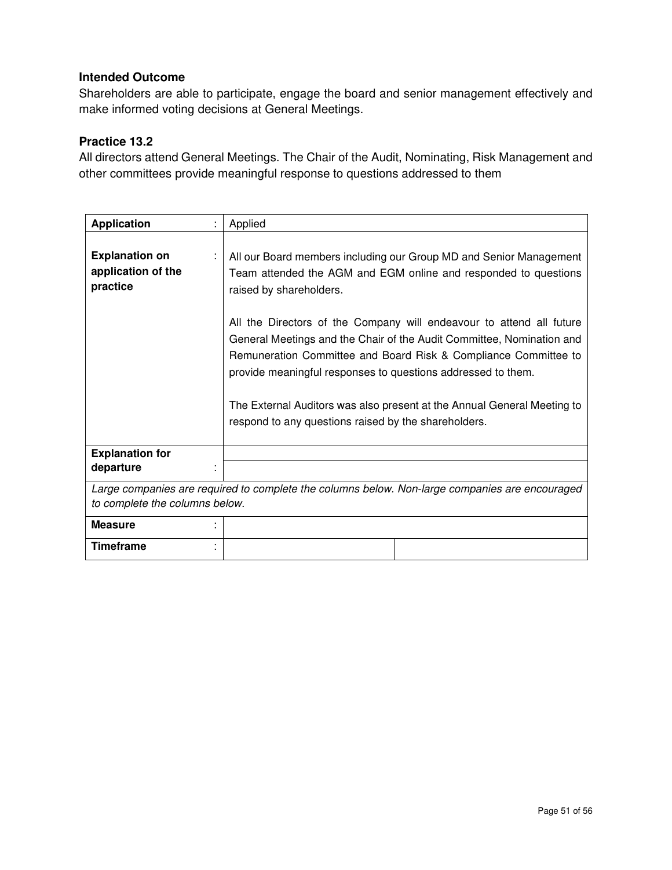Shareholders are able to participate, engage the board and senior management effectively and make informed voting decisions at General Meetings.

## **Practice 13.2**

All directors attend General Meetings. The Chair of the Audit, Nominating, Risk Management and other committees provide meaningful response to questions addressed to them

| <b>Application</b>                                                                                                               | Applied                                                                                                                                                                                                                                                                                                                                                                                                                                                                                                                                                                                 |  |
|----------------------------------------------------------------------------------------------------------------------------------|-----------------------------------------------------------------------------------------------------------------------------------------------------------------------------------------------------------------------------------------------------------------------------------------------------------------------------------------------------------------------------------------------------------------------------------------------------------------------------------------------------------------------------------------------------------------------------------------|--|
| <b>Explanation on</b><br>application of the<br>practice                                                                          | All our Board members including our Group MD and Senior Management<br>Team attended the AGM and EGM online and responded to questions<br>raised by shareholders.<br>All the Directors of the Company will endeavour to attend all future<br>General Meetings and the Chair of the Audit Committee, Nomination and<br>Remuneration Committee and Board Risk & Compliance Committee to<br>provide meaningful responses to questions addressed to them.<br>The External Auditors was also present at the Annual General Meeting to<br>respond to any questions raised by the shareholders. |  |
| <b>Explanation for</b><br>departure                                                                                              |                                                                                                                                                                                                                                                                                                                                                                                                                                                                                                                                                                                         |  |
| Large companies are required to complete the columns below. Non-large companies are encouraged<br>to complete the columns below. |                                                                                                                                                                                                                                                                                                                                                                                                                                                                                                                                                                                         |  |
| <b>Measure</b>                                                                                                                   |                                                                                                                                                                                                                                                                                                                                                                                                                                                                                                                                                                                         |  |
| Timeframe                                                                                                                        |                                                                                                                                                                                                                                                                                                                                                                                                                                                                                                                                                                                         |  |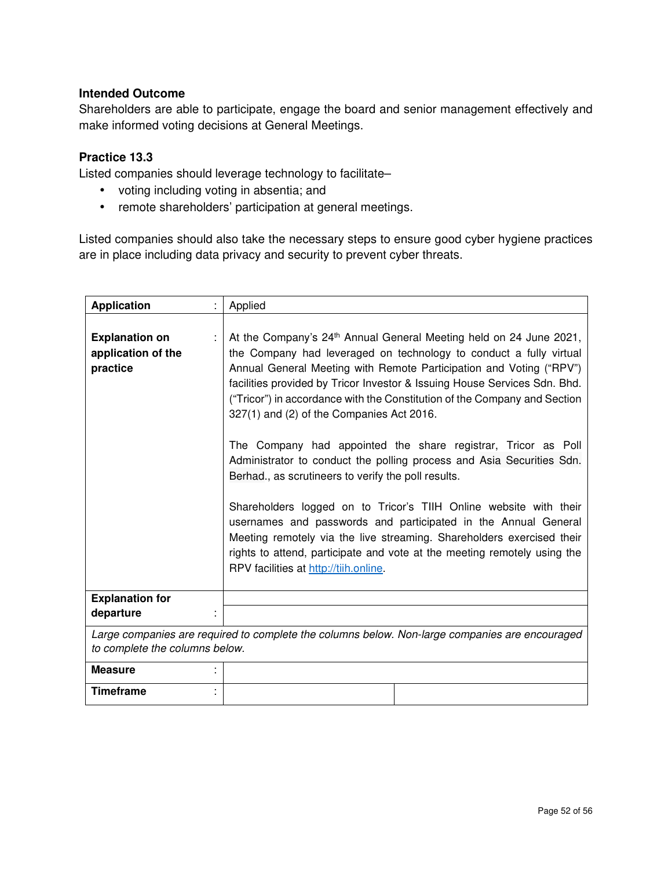Shareholders are able to participate, engage the board and senior management effectively and make informed voting decisions at General Meetings.

## **Practice 13.3**

Listed companies should leverage technology to facilitate–

- voting including voting in absentia; and
- remote shareholders' participation at general meetings.

Listed companies should also take the necessary steps to ensure good cyber hygiene practices are in place including data privacy and security to prevent cyber threats.

| <b>Application</b>                                                                                                               |  | Applied                                                                                                                                                                                                                                                                                                                                                                                                                                                                                                                                                                                                                                                                                                                                                                                                                                                                                                                                                                  |
|----------------------------------------------------------------------------------------------------------------------------------|--|--------------------------------------------------------------------------------------------------------------------------------------------------------------------------------------------------------------------------------------------------------------------------------------------------------------------------------------------------------------------------------------------------------------------------------------------------------------------------------------------------------------------------------------------------------------------------------------------------------------------------------------------------------------------------------------------------------------------------------------------------------------------------------------------------------------------------------------------------------------------------------------------------------------------------------------------------------------------------|
| <b>Explanation on</b><br>application of the<br>practice                                                                          |  | At the Company's 24 <sup>th</sup> Annual General Meeting held on 24 June 2021,<br>the Company had leveraged on technology to conduct a fully virtual<br>Annual General Meeting with Remote Participation and Voting ("RPV")<br>facilities provided by Tricor Investor & Issuing House Services Sdn. Bhd.<br>("Tricor") in accordance with the Constitution of the Company and Section<br>327(1) and (2) of the Companies Act 2016.<br>The Company had appointed the share registrar, Tricor as Poll<br>Administrator to conduct the polling process and Asia Securities Sdn.<br>Berhad., as scrutineers to verify the poll results.<br>Shareholders logged on to Tricor's TIIH Online website with their<br>usernames and passwords and participated in the Annual General<br>Meeting remotely via the live streaming. Shareholders exercised their<br>rights to attend, participate and vote at the meeting remotely using the<br>RPV facilities at http://tiih.online. |
| <b>Explanation for</b><br>departure                                                                                              |  |                                                                                                                                                                                                                                                                                                                                                                                                                                                                                                                                                                                                                                                                                                                                                                                                                                                                                                                                                                          |
| Large companies are required to complete the columns below. Non-large companies are encouraged<br>to complete the columns below. |  |                                                                                                                                                                                                                                                                                                                                                                                                                                                                                                                                                                                                                                                                                                                                                                                                                                                                                                                                                                          |
| <b>Measure</b>                                                                                                                   |  |                                                                                                                                                                                                                                                                                                                                                                                                                                                                                                                                                                                                                                                                                                                                                                                                                                                                                                                                                                          |
| <b>Timeframe</b>                                                                                                                 |  |                                                                                                                                                                                                                                                                                                                                                                                                                                                                                                                                                                                                                                                                                                                                                                                                                                                                                                                                                                          |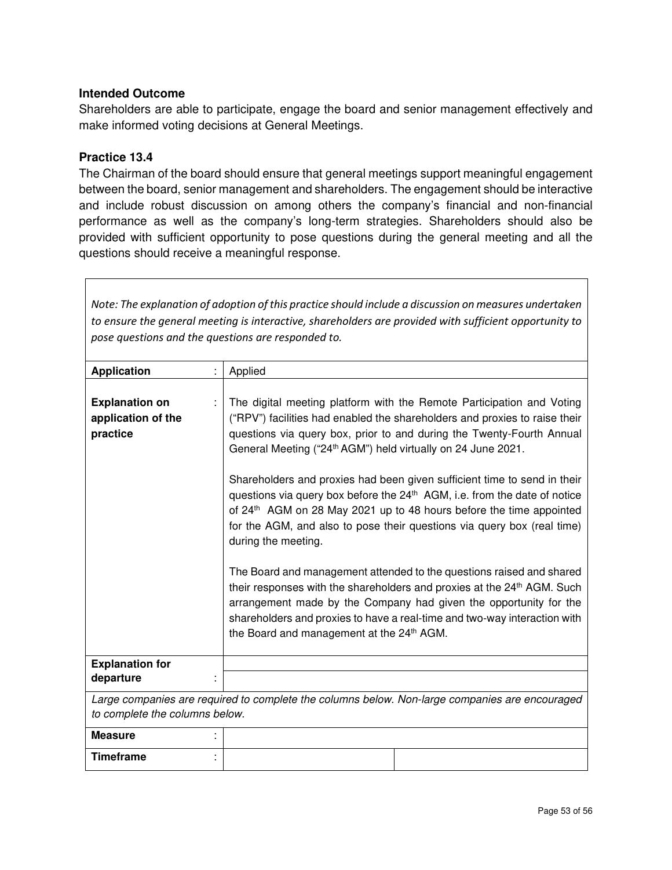Shareholders are able to participate, engage the board and senior management effectively and make informed voting decisions at General Meetings.

#### **Practice 13.4**

The Chairman of the board should ensure that general meetings support meaningful engagement between the board, senior management and shareholders. The engagement should be interactive and include robust discussion on among others the company's financial and non-financial performance as well as the company's long-term strategies. Shareholders should also be provided with sufficient opportunity to pose questions during the general meeting and all the questions should receive a meaningful response.

| Note: The explanation of adoption of this practice should include a discussion on measures undertaken  |                                                                                                                                                                                                                                                                                                                                                                        |  |  |
|--------------------------------------------------------------------------------------------------------|------------------------------------------------------------------------------------------------------------------------------------------------------------------------------------------------------------------------------------------------------------------------------------------------------------------------------------------------------------------------|--|--|
| to ensure the general meeting is interactive, shareholders are provided with sufficient opportunity to |                                                                                                                                                                                                                                                                                                                                                                        |  |  |
| pose questions and the questions are responded to.                                                     |                                                                                                                                                                                                                                                                                                                                                                        |  |  |
|                                                                                                        |                                                                                                                                                                                                                                                                                                                                                                        |  |  |
| <b>Application</b>                                                                                     | Applied                                                                                                                                                                                                                                                                                                                                                                |  |  |
|                                                                                                        |                                                                                                                                                                                                                                                                                                                                                                        |  |  |
| <b>Explanation on</b>                                                                                  | The digital meeting platform with the Remote Participation and Voting                                                                                                                                                                                                                                                                                                  |  |  |
| application of the                                                                                     | ("RPV") facilities had enabled the shareholders and proxies to raise their                                                                                                                                                                                                                                                                                             |  |  |
| practice                                                                                               | questions via query box, prior to and during the Twenty-Fourth Annual<br>General Meeting ("24 <sup>th</sup> AGM") held virtually on 24 June 2021.                                                                                                                                                                                                                      |  |  |
|                                                                                                        | Shareholders and proxies had been given sufficient time to send in their<br>questions via query box before the 24 <sup>th</sup> AGM, i.e. from the date of notice<br>of 24 <sup>th</sup> AGM on 28 May 2021 up to 48 hours before the time appointed<br>for the AGM, and also to pose their questions via query box (real time)<br>during the meeting.                 |  |  |
|                                                                                                        | The Board and management attended to the questions raised and shared<br>their responses with the shareholders and proxies at the 24 <sup>th</sup> AGM. Such<br>arrangement made by the Company had given the opportunity for the<br>shareholders and proxies to have a real-time and two-way interaction with<br>the Board and management at the 24 <sup>th</sup> AGM. |  |  |
| <b>Explanation for</b>                                                                                 |                                                                                                                                                                                                                                                                                                                                                                        |  |  |
| departure                                                                                              |                                                                                                                                                                                                                                                                                                                                                                        |  |  |
|                                                                                                        | Large companies are required to complete the columns below. Non-large companies are encouraged                                                                                                                                                                                                                                                                         |  |  |
| to complete the columns below.                                                                         |                                                                                                                                                                                                                                                                                                                                                                        |  |  |
| <b>Measure</b>                                                                                         |                                                                                                                                                                                                                                                                                                                                                                        |  |  |
| <b>Timeframe</b>                                                                                       |                                                                                                                                                                                                                                                                                                                                                                        |  |  |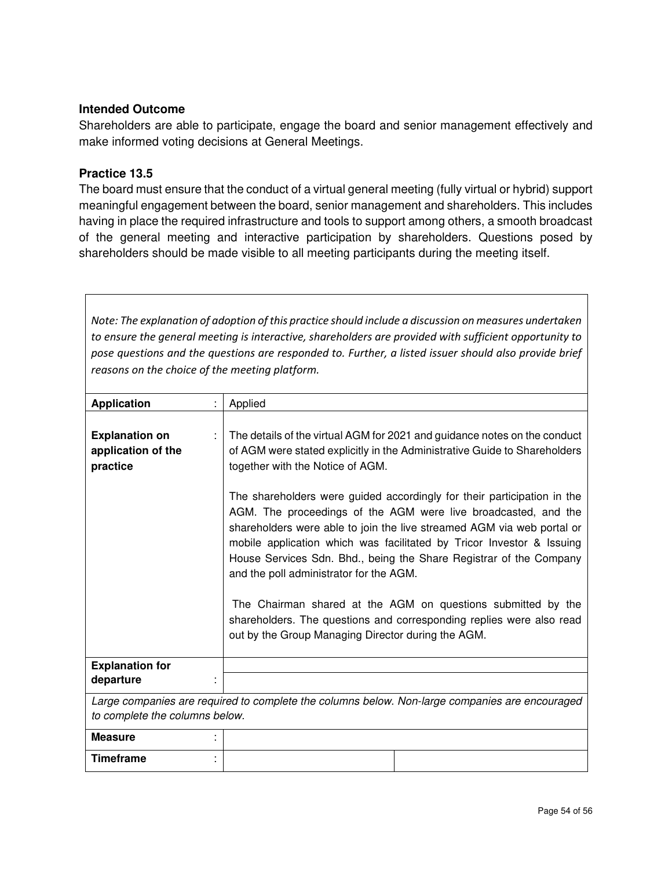Shareholders are able to participate, engage the board and senior management effectively and make informed voting decisions at General Meetings.

#### **Practice 13.5**

The board must ensure that the conduct of a virtual general meeting (fully virtual or hybrid) support meaningful engagement between the board, senior management and shareholders. This includes having in place the required infrastructure and tools to support among others, a smooth broadcast of the general meeting and interactive participation by shareholders. Questions posed by shareholders should be made visible to all meeting participants during the meeting itself.

*Note: The explanation of adoption of this practice should include a discussion on measures undertaken to ensure the general meeting is interactive, shareholders are provided with sufficient opportunity to pose questions and the questions are responded to. Further, a listed issuer should also provide brief reasons on the choice of the meeting platform.* 

| <b>Application</b>                                                                                                               | Applied                                                                                                                                                                                                                                                                                                                                                                                                                                                                                                                                                                                                     |  |
|----------------------------------------------------------------------------------------------------------------------------------|-------------------------------------------------------------------------------------------------------------------------------------------------------------------------------------------------------------------------------------------------------------------------------------------------------------------------------------------------------------------------------------------------------------------------------------------------------------------------------------------------------------------------------------------------------------------------------------------------------------|--|
| <b>Explanation on</b><br>application of the<br>practice                                                                          | The details of the virtual AGM for 2021 and guidance notes on the conduct<br>of AGM were stated explicitly in the Administrative Guide to Shareholders<br>together with the Notice of AGM.                                                                                                                                                                                                                                                                                                                                                                                                                  |  |
|                                                                                                                                  | The shareholders were guided accordingly for their participation in the<br>AGM. The proceedings of the AGM were live broadcasted, and the<br>shareholders were able to join the live streamed AGM via web portal or<br>mobile application which was facilitated by Tricor Investor & Issuing<br>House Services Sdn. Bhd., being the Share Registrar of the Company<br>and the poll administrator for the AGM.<br>The Chairman shared at the AGM on questions submitted by the<br>shareholders. The questions and corresponding replies were also read<br>out by the Group Managing Director during the AGM. |  |
| <b>Explanation for</b>                                                                                                           |                                                                                                                                                                                                                                                                                                                                                                                                                                                                                                                                                                                                             |  |
| departure                                                                                                                        |                                                                                                                                                                                                                                                                                                                                                                                                                                                                                                                                                                                                             |  |
| Large companies are required to complete the columns below. Non-large companies are encouraged<br>to complete the columns below. |                                                                                                                                                                                                                                                                                                                                                                                                                                                                                                                                                                                                             |  |
| <b>Measure</b>                                                                                                                   |                                                                                                                                                                                                                                                                                                                                                                                                                                                                                                                                                                                                             |  |
| <b>Timeframe</b>                                                                                                                 |                                                                                                                                                                                                                                                                                                                                                                                                                                                                                                                                                                                                             |  |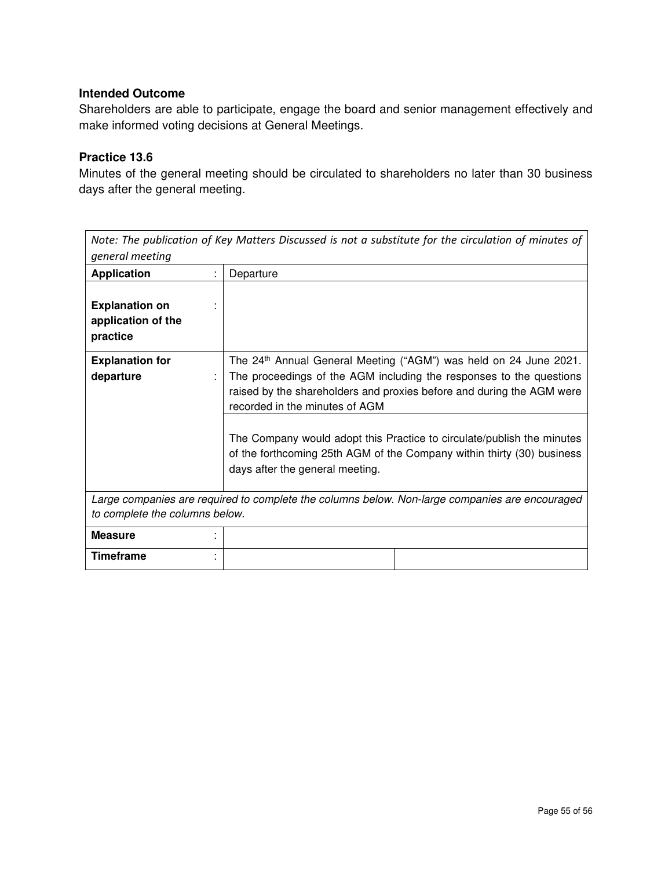Shareholders are able to participate, engage the board and senior management effectively and make informed voting decisions at General Meetings.

## **Practice 13.6**

Minutes of the general meeting should be circulated to shareholders no later than 30 business days after the general meeting.

| Note: The publication of Key Matters Discussed is not a substitute for the circulation of minutes of<br>general meeting          |                                                                                                                                                                                                                                                                 |  |
|----------------------------------------------------------------------------------------------------------------------------------|-----------------------------------------------------------------------------------------------------------------------------------------------------------------------------------------------------------------------------------------------------------------|--|
| <b>Application</b>                                                                                                               | Departure                                                                                                                                                                                                                                                       |  |
| <b>Explanation on</b><br>application of the<br>practice                                                                          |                                                                                                                                                                                                                                                                 |  |
| <b>Explanation for</b><br>departure                                                                                              | The 24 <sup>th</sup> Annual General Meeting ("AGM") was held on 24 June 2021.<br>The proceedings of the AGM including the responses to the questions<br>raised by the shareholders and proxies before and during the AGM were<br>recorded in the minutes of AGM |  |
|                                                                                                                                  | The Company would adopt this Practice to circulate/publish the minutes<br>of the forthcoming 25th AGM of the Company within thirty (30) business<br>days after the general meeting.                                                                             |  |
| Large companies are required to complete the columns below. Non-large companies are encouraged<br>to complete the columns below. |                                                                                                                                                                                                                                                                 |  |
| <b>Measure</b>                                                                                                                   |                                                                                                                                                                                                                                                                 |  |
| <b>Timeframe</b>                                                                                                                 |                                                                                                                                                                                                                                                                 |  |